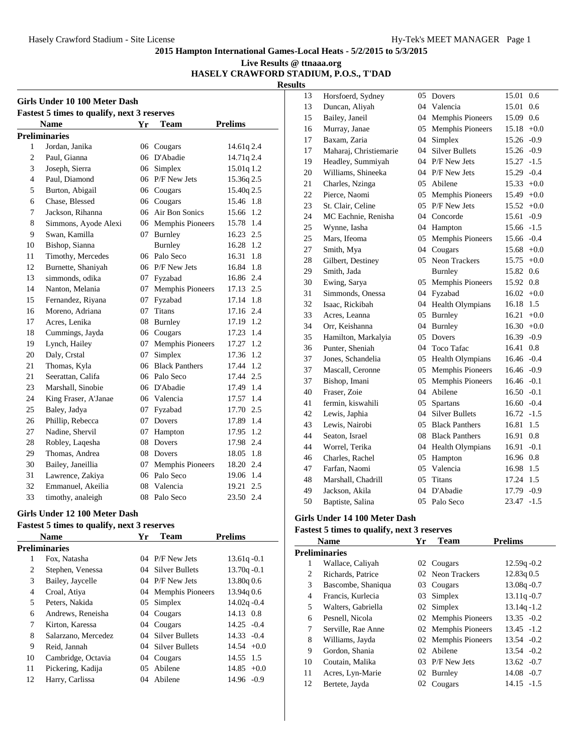## **Live Results @ ttnaaa.org HASELY CRAWFORD STADIUM, P.O.S., T'DAD**

**Results**

| Girls Under 10 100 Meter Dash |                                                    |    |                         |                |  |  |  |
|-------------------------------|----------------------------------------------------|----|-------------------------|----------------|--|--|--|
|                               | <b>Fastest 5 times to qualify, next 3 reserves</b> |    |                         |                |  |  |  |
|                               | <b>Name</b>                                        | Yr | Team                    | <b>Prelims</b> |  |  |  |
|                               | <b>Preliminaries</b>                               |    |                         |                |  |  |  |
| 1                             | Jordan, Janika                                     |    | 06 Cougars              | 14.61q2.4      |  |  |  |
| $\overline{c}$                | Paul, Gianna                                       | 06 | D'Abadie                | 14.71q 2.4     |  |  |  |
| 3                             | Joseph, Sierra                                     | 06 | Simplex                 | 15.01q 1.2     |  |  |  |
| $\overline{4}$                | Paul, Diamond                                      |    | 06 P/F New Jets         | 15.36q 2.5     |  |  |  |
| 5                             | Burton, Abigail                                    | 06 | Cougars                 | 15.40q 2.5     |  |  |  |
| 6                             | Chase, Blessed                                     | 06 | Cougars                 | 15.46 1.8      |  |  |  |
| 7                             | Jackson, Rihanna                                   | 06 | Air Bon Sonics          | 15.66<br>1.2   |  |  |  |
| 8                             | Simmons, Ayode Alexi                               |    | 06 Memphis Pioneers     | 15.78<br>1.4   |  |  |  |
| 9                             | Swan, Kamilla                                      | 07 | Burnley                 | 16.23 2.5      |  |  |  |
| 10                            | Bishop, Sianna                                     |    | Burnley                 | 16.28 1.2      |  |  |  |
| 11                            | Timothy, Mercedes                                  |    | 06 Palo Seco            | 16.31<br>1.8   |  |  |  |
| 12                            | Burnette, Shaniyah                                 |    | 06 P/F New Jets         | 1.8<br>16.84   |  |  |  |
| 13                            | simmonds, odika                                    | 07 | Fyzabad                 | 16.86 2.4      |  |  |  |
| 14                            | Nanton, Melania                                    | 07 | Memphis Pioneers        | 17.13 2.5      |  |  |  |
| 15                            | Fernandez, Riyana                                  | 07 | Fyzabad                 | 1.8<br>17.14   |  |  |  |
| 16                            | Moreno, Adriana                                    | 07 | <b>Titans</b>           | 17.16 2.4      |  |  |  |
| 17                            | Acres, Lenika                                      | 08 | Burnley                 | 17.19 1.2      |  |  |  |
| 18                            | Cummings, Jayda                                    |    | 06 Cougars              | 17.23<br>1.4   |  |  |  |
| 19                            | Lynch, Hailey                                      | 07 | Memphis Pioneers        | 1.2<br>17.27   |  |  |  |
| 20                            | Daly, Crstal                                       | 07 | Simplex                 | 17.36<br>1.2   |  |  |  |
| 21                            | Thomas, Kyla                                       |    | 06 Black Panthers       | 17.44 1.2      |  |  |  |
| 21                            | Seerattan, Califa                                  |    | 06 Palo Seco            | 17.44 2.5      |  |  |  |
| 23                            | Marshall, Sinobie                                  |    | 06 D'Abadie             | 17.49 1.4      |  |  |  |
| 24                            | King Fraser, A'Janae                               |    | 06 Valencia             | 1.4<br>17.57   |  |  |  |
| 25                            | Baley, Jadya                                       |    | 07 Fyzabad              | 17.70 2.5      |  |  |  |
| 26                            | Phillip, Rebecca                                   |    | 07 Dovers               | 17.89 1.4      |  |  |  |
| 27                            | Nadine, Shervil                                    |    | 07 Hampton              | 1.2<br>17.95   |  |  |  |
| 28                            | Robley, Lagesha                                    | 08 | Dovers                  | 17.98 2.4      |  |  |  |
| 29                            | Thomas, Andrea                                     |    | 08 Dovers               | 1.8<br>18.05   |  |  |  |
| 30                            | Bailey, Janeillia                                  | 07 | <b>Memphis Pioneers</b> | 18.20 2.4      |  |  |  |
| 31                            | Lawrence, Zakiya                                   |    | 06 Palo Seco            | 1.4<br>19.06   |  |  |  |
| 32                            | Emmanuel, Akeilia                                  | 08 | Valencia                | 2.5<br>19.21   |  |  |  |
| 33                            | timothy, analeigh                                  | 08 | Palo Seco               | 2.4<br>23.50   |  |  |  |

## **Girls Under 12 100 Meter Dash**

#### **Fastest 5 times to qualify, next 3 reserves Name Yr Team Prelims**

|    | Name                | Y r | 1 eam               | rrenms         |
|----|---------------------|-----|---------------------|----------------|
|    | Preliminaries       |     |                     |                |
| 1  | Fox, Natasha        |     | 04 P/F New Jets     | $13.61q - 0.1$ |
| 2  | Stephen, Venessa    |     | 04 Silver Bullets   | $13.70q - 0.1$ |
| 3  | Bailey, Jaycelle    |     | 04 P/F New Jets     | 13.80q 0.6     |
| 4  | Croal, Atiya        |     | 04 Memphis Pioneers | 13.94q 0.6     |
| 5  | Peters, Nakida      | 05  | Simplex             | $14.02q - 0.4$ |
| 6  | Andrews, Reneisha   |     | 04 Cougars          | 14.13 0.8      |
| 7  | Kirton, Karessa     |     | 04 Cougars          | $14.25 - 0.4$  |
| 8  | Salarzano, Mercedez |     | 04 Silver Bullets   | $14.33 - 0.4$  |
| 9  | Reid, Jannah        |     | 04 Silver Bullets   | $14.54 +0.0$   |
| 10 | Cambridge, Octavia  |     | 04 Cougars          | 14.55 1.5      |
| 11 | Pickering, Kadija   |     | 05 Abilene          | $14.85 + 0.0$  |
| 12 | Harry, Carlissa     | 04  | Abilene             | $14.96 - 0.9$  |
|    |                     |     |                     |                |

| 13 | Horsfoerd, Sydney      | 05 | Dovers                  | 15.01         | 0.6    |
|----|------------------------|----|-------------------------|---------------|--------|
| 13 | Duncan, Aliyah         | 04 | Valencia                | 15.01         | 0.6    |
| 15 | Bailey, Janeil         | 04 | <b>Memphis Pioneers</b> | 15.09         | 0.6    |
| 16 | Murray, Janae          | 05 | <b>Memphis Pioneers</b> | 15.18         | $+0.0$ |
| 17 | Baxam, Zaria           | 04 | Simplex                 | 15.26         | $-0.9$ |
| 17 | Maharaj, Christiemarie | 04 | <b>Silver Bullets</b>   | 15.26         | $-0.9$ |
| 19 | Headley, Summiyah      | 04 | P/F New Jets            | 15.27         | $-1.5$ |
| 20 | Williams, Shineeka     | 04 | P/F New Jets            | 15.29         | $-0.4$ |
| 21 | Charles, Nzinga        | 05 | Abilene                 | 15.33         | $+0.0$ |
| 22 | Pierce, Naomi          | 05 | <b>Memphis Pioneers</b> | $15.49 + 0.0$ |        |
| 23 | St. Clair, Celine      | 05 | P/F New Jets            | 15.52         | $+0.0$ |
| 24 | MC Eachnie, Renisha    | 04 | Concorde                | 15.61         | $-0.9$ |
| 25 | Wynne, Iasha           | 04 | Hampton                 | 15.66         | $-1.5$ |
| 25 | Mars, Ifeoma           | 05 | <b>Memphis Pioneers</b> | 15.66         | $-0.4$ |
| 27 | Smith, Mya             | 04 | Cougars                 | $15.68 + 0.0$ |        |
| 28 | Gilbert, Destiney      | 05 | Neon Trackers           | 15.75         | $+0.0$ |
| 29 | Smith, Jada            |    | Burnley                 | 15.82         | 0.6    |
| 30 | Ewing, Sarya           | 05 | <b>Memphis Pioneers</b> | 15.92         | 0.8    |
| 31 | Simmonds, Onessa       | 04 | Fyzabad                 | 16.02         | $+0.0$ |
| 32 | Isaac. Rickibah        | 04 | <b>Health Olympians</b> | 16.18         | 1.5    |
| 33 | Acres, Leanna          | 05 | Burnley                 | 16.21         | $+0.0$ |
| 34 | Orr, Keishanna         | 04 | <b>Burnley</b>          | 16.30         | $+0.0$ |
| 35 | Hamilton, Markalyia    | 05 | Dovers                  | 16.39         | $-0.9$ |
| 36 | Punter, Sheniah        | 04 | <b>Toco Tafac</b>       | 16.41         | 0.8    |
| 37 | Jones, Schandelia      | 05 | Health Olympians        | 16.46         | $-0.4$ |
| 37 | Mascall, Ceronne       | 05 | <b>Memphis Pioneers</b> | 16.46         | $-0.9$ |
| 37 | Bishop, Imani          | 05 | <b>Memphis Pioneers</b> | 16.46         | $-0.1$ |
| 40 | Fraser, Zoie           | 04 | Abilene                 | 16.50         | $-0.1$ |
| 41 | fermin, kiswahili      | 05 | <b>Spartans</b>         | 16.60         | $-0.4$ |
| 42 | Lewis, Japhia          | 04 | <b>Silver Bullets</b>   | 16.72         | $-1.5$ |
| 43 | Lewis, Nairobi         | 05 | <b>Black Panthers</b>   | 16.81         | 1.5    |
| 44 | Seaton, Israel         | 08 | <b>Black Panthers</b>   | 16.91         | 0.8    |
| 44 | Worrel, Terika         | 04 | Health Olympians        | 16.91         | $-0.1$ |
| 46 | Charles, Rachel        | 05 | Hampton                 | 16.96         | 0.8    |
| 47 | Farfan, Naomi          | 05 | Valencia                | 16.98         | 1.5    |
| 48 | Marshall, Chadrill     | 05 | Titans                  | 17.24         | 1.5    |
| 49 | Jackson, Akila         | 04 | D'Abadie                | 17.79         | $-0.9$ |
| 50 | Baptiste, Salina       | 05 | Palo Seco               | 23.47         | $-1.5$ |

## **Girls Under 14 100 Meter Dash**

| <b>Name</b> |                      | Yr | <b>Team</b>         | <b>Prelims</b> |
|-------------|----------------------|----|---------------------|----------------|
|             | <b>Preliminaries</b> |    |                     |                |
| 1           | Wallace, Caliyah     |    | 02 Cougars          | $12.59q - 0.2$ |
| 2           | Richards, Patrice    |    | 02 Neon Trackers    | 12.83q 0.5     |
| 3           | Bascombe, Shaniqua   |    | 03 Cougars          | $13.08q - 0.7$ |
| 4           | Francis, Kurlecia    | 03 | Simplex             | $13.11q - 0.7$ |
| 5           | Walters, Gabriella   |    | 02 Simplex          | $13.14q - 1.2$ |
| 6           | Pesnell, Nicola      |    | 02 Memphis Pioneers | $13.35 - 0.2$  |
| 7           | Serville, Rae Anne   |    | 02 Memphis Pioneers | $13.45 - 1.2$  |
| 8           | Williams, Jayda      |    | 02 Memphis Pioneers | $13.54 - 0.2$  |
| 9           | Gordon, Shania       |    | 02 Abilene          | $13.54 - 0.2$  |
| 10          | Coutain, Malika      |    | 03 P/F New Jets     | $13.62 - 0.7$  |
| 11          | Acres, Lyn-Marie     |    | 02 Burnley          | $14.08 - 0.7$  |
| 12          | Bertete, Jayda       | 02 | Cougars             | $14.15 - 1.5$  |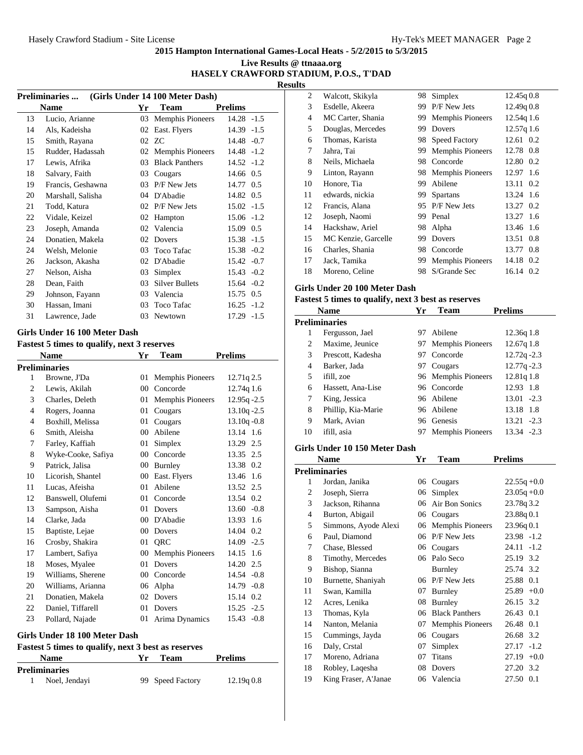## **Live Results @ ttnaaa.org HASELY CRAWFORD STADIUM, P.O.S., T'DAD**

**Results**

| (Girls Under 14 100 Meter Dash)<br><b>Preliminaries </b> |                   |    |                         |                |  |  |  |
|----------------------------------------------------------|-------------------|----|-------------------------|----------------|--|--|--|
|                                                          | Name              | Yr | Team                    | <b>Prelims</b> |  |  |  |
| 13                                                       | Lucio, Arianne    | 03 | <b>Memphis Pioneers</b> | $14.28 - 1.5$  |  |  |  |
| 14                                                       | Als, Kadeisha     | 02 | East. Flyers            | $14.39 - 1.5$  |  |  |  |
| 15                                                       | Smith, Rayana     |    | 02 ZC                   | 14.48 -0.7     |  |  |  |
| 15                                                       | Rudder, Hadassah  | 02 | <b>Memphis Pioneers</b> | $14.48 - 1.2$  |  |  |  |
| 17                                                       | Lewis, Afrika     | 03 | <b>Black Panthers</b>   | $14.52 - 1.2$  |  |  |  |
| 18                                                       | Salvary, Faith    | 03 | Cougars                 | 14.66 0.5      |  |  |  |
| 19                                                       | Francis, Geshawna | 03 | P/F New Jets            | 14.77 0.5      |  |  |  |
| 20                                                       | Marshall, Salisha | 04 | D'Abadie                | 14.82 0.5      |  |  |  |
| 21                                                       | Todd, Katura      | 02 | P/F New Jets            | $15.02 -1.5$   |  |  |  |
| 22                                                       | Vidale, Keizel    | 02 | Hampton                 | $15.06 -1.2$   |  |  |  |
| 23                                                       | Joseph, Amanda    |    | 02 Valencia             | 15.09 0.5      |  |  |  |
| 24                                                       | Donatien, Makela  | 02 | Dovers                  | $15.38 - 1.5$  |  |  |  |
| 24                                                       | Welsh, Melonie    | 03 | Toco Tafac              | $15.38 - 0.2$  |  |  |  |
| 26                                                       | Jackson, Akasha   | 02 | D'Abadie                | $15.42 -0.7$   |  |  |  |
| 27                                                       | Nelson, Aisha     | 03 | Simplex                 | $15.43 - 0.2$  |  |  |  |
| 28                                                       | Dean, Faith       | 03 | Silver Bullets          | $15.64 - 0.2$  |  |  |  |
| 29                                                       | Johnson, Fayann   | 03 | Valencia                | 15.75 0.5      |  |  |  |
| 30                                                       | Hassan, Imani     | 03 | Toco Tafac              | $16.25 -1.2$   |  |  |  |
| 31                                                       | Lawrence, Jade    | 03 | Newtown                 | $17.29 - 1.5$  |  |  |  |

#### **Girls Under 16 100 Meter Dash**

| <b>Fastest 5 times to qualify, next 3 reserves</b> |                      |        |                         |                   |
|----------------------------------------------------|----------------------|--------|-------------------------|-------------------|
|                                                    | <b>Name</b>          | Yr     | Team                    | <b>Prelims</b>    |
|                                                    | <b>Preliminaries</b> |        |                         |                   |
| 1                                                  | Browne, J'Da         | 01     | <b>Memphis Pioneers</b> | 12.71q 2.5        |
| 2                                                  | Lewis, Akilah        | 00     | Concorde                | 12.74g 1.6        |
| 3                                                  | Charles, Deleth      | 01     | <b>Memphis Pioneers</b> | $12.95q - 2.5$    |
| 4                                                  | Rogers, Joanna       | 01     | Cougars                 | $13.10q - 2.5$    |
| 4                                                  | Boxhill, Melissa     | 01     | Cougars                 | $13.10q - 0.8$    |
| 6                                                  | Smith, Aleisha       | 00     | Abilene                 | 13.14 1.6         |
| 7                                                  | Farley, Kaffiah      | 01     | Simplex                 | 13.29 2.5         |
| 8                                                  | Wyke-Cooke, Safiya   | 00     | Concorde                | 13.35 2.5         |
| 9                                                  | Patrick. Jalisa      | $00\,$ | Burnley                 | 13.38 0.2         |
| 10                                                 | Licorish, Shantel    | $00\,$ | East. Flyers            | 13.46 1.6         |
| 11                                                 | Lucas, Afeisha       | 01     | Abilene                 | 13.52 2.5         |
| 12                                                 | Banswell, Olufemi    | 01     | Concorde                | 13.54 0.2         |
| 13                                                 | Sampson, Aisha       | 01     | Dovers                  | $13.60 - 0.8$     |
| 14                                                 | Clarke, Jada         | 00     | D'Abadie                | 13.93 1.6         |
| 15                                                 | Baptiste, Lejae      | 00     | Dovers                  | 14.04 0.2         |
| 16                                                 | Crosby, Shakira      | 01     | <b>ORC</b>              | $14.09 - 2.5$     |
| 17                                                 | Lambert, Safiya      | 00     | <b>Memphis Pioneers</b> | 14.15<br>1.6      |
| 18                                                 | Moses, Myalee        | 01     | Dovers                  | $14.20 \quad 2.5$ |
| 19                                                 | Williams, Sherene    | 00     | Concorde                | 14.54 - 0.8       |
| 20                                                 | Williams, Arianna    | 06     | Alpha                   | $14.79 - 0.8$     |
| 21                                                 | Donatien, Makela     | 02     | <b>Dovers</b>           | 15.14 0.2         |
| 22                                                 | Daniel, Tiffarell    | 01     | Dovers                  | $15.25 - 2.5$     |
| 23                                                 | Pollard, Najade      | 01     | Arima Dynamics          | 15.43 -0.8        |
|                                                    |                      |        |                         |                   |

## **Girls Under 18 100 Meter Dash**

| <b>Fastest 5 times to qualify, next 3 best as reserves</b> |               |    |                  |                |  |
|------------------------------------------------------------|---------------|----|------------------|----------------|--|
|                                                            | <b>Name</b>   | ٧r | Team             | <b>Prelims</b> |  |
| <b>Preliminaries</b>                                       |               |    |                  |                |  |
| 1.                                                         | Noel, Jendayi |    | 99 Speed Factory | 12.19q0.8      |  |

| 2              | Walcott, Skikyla    | 98 | Simplex                 | 12.45q0.8    |
|----------------|---------------------|----|-------------------------|--------------|
| 3              | Esdelle, Akeera     | 99 | P/F New Jets            | 12.49q 0.8   |
| $\overline{4}$ | MC Carter, Shania   | 99 | <b>Memphis Pioneers</b> | 12.54q 1.6   |
| 5              | Douglas, Mercedes   | 99 | Dovers                  | 12.57q 1.6   |
| 6              | Thomas, Karista     | 98 | <b>Speed Factory</b>    | 12.61 0.2    |
| 7              | Jahra, Tai          | 99 | <b>Memphis Pioneers</b> | 12.78 0.8    |
| 8              | Neils, Michaela     | 98 | Concorde                | 12.80<br>0.2 |
| 9              | Linton, Rayann      | 98 | <b>Memphis Pioneers</b> | 12.97 1.6    |
| 10             | Honore, Tia         | 99 | Abilene                 | 13.11<br>0.2 |
| 11             | edwards, nickia     | 99 | <b>Spartans</b>         | 13.24 1.6    |
| 12             | Francis, Alana      | 95 | P/F New Jets            | 0.2<br>13.27 |
| 12             | Joseph, Naomi       | 99 | Penal                   | 13.27<br>1.6 |
| 14             | Hackshaw, Ariel     | 98 | Alpha                   | 13.46 1.6    |
| 15             | MC Kenzie, Garcelle | 99 | Dovers                  | 13.51<br>0.8 |
| 16             | Charles, Shania     | 98 | Concorde                | 13.77 0.8    |
| 17             | Jack, Tamika        | 99 | <b>Memphis Pioneers</b> | 14.18 0.2    |
| 18             | Moreno, Celine      | 98 | S/Grande Sec            | 16.14 0.2    |

## **Girls Under 20 100 Meter Dash**

## **Fastest 5 times to qualify, next 3 best as reserves**

| <b>Name</b>    |                    | Yr  | Team                    | <b>Prelims</b> |
|----------------|--------------------|-----|-------------------------|----------------|
|                | Preliminaries      |     |                         |                |
| 1              | Fergusson, Jael    | 97. | Abilene                 | 12.36q1.8      |
| 2              | Maxime, Jeunice    |     | 97 Memphis Pioneers     | 12.67q 1.8     |
| 3              | Prescott, Kadesha  |     | 97 Concorde             | $12.72q - 2.3$ |
| $\overline{4}$ | Barker, Jada       |     | 97 Cougars              | $12.77q - 2.3$ |
| 5              | ifill, zoe         |     | 96 Memphis Pioneers     | 12.81q 1.8     |
| 6              | Hassett, Ana-Lise  |     | 96 Concorde             | 12.93 1.8      |
| 7              | King, Jessica      |     | 96 Abilene              | $13.01 - 2.3$  |
| 8              | Phillip, Kia-Marie |     | 96 Abilene              | 13.18 1.8      |
| 9              | Mark, Avian        |     | 96 Genesis              | $13.21 - 2.3$  |
| 10             | ifill. asia        | 97  | <b>Memphis Pioneers</b> | $13.34 - 2.3$  |

#### **Girls Under 10 150 Meter Dash**

|                | Name                 | Yr | <b>Team</b>             | <b>Prelims</b>  |
|----------------|----------------------|----|-------------------------|-----------------|
|                | Preliminaries        |    |                         |                 |
| 1              | Jordan, Janika       | 06 | Cougars                 | $22.55q + 0.0$  |
| $\overline{c}$ | Joseph, Sierra       | 06 | Simplex                 | $23.05q + 0.0$  |
| 3              | Jackson, Rihanna     | 06 | Air Bon Sonics          | 23.78q 3.2      |
| 4              | Burton, Abigail      | 06 | Cougars                 | 23.88q 0.1      |
| 5              | Simmons, Ayode Alexi | 06 | <b>Memphis Pioneers</b> | 23.96q0.1       |
| 6              | Paul, Diamond        | 06 | P/F New Jets            | $23.98 - 1.2$   |
| 7              | Chase, Blessed       | 06 | Cougars                 | 24.11<br>$-1.2$ |
| 8              | Timothy, Mercedes    | 06 | Palo Seco               | 25.19 3.2       |
| 9              | Bishop, Sianna       |    | Burnley                 | 25.74 3.2       |
| 10             | Burnette, Shaniyah   | 06 | P/F New Jets            | 25.88<br>0.1    |
| 11             | Swan, Kamilla        | 07 | Burnley                 | $+0.0$<br>25.89 |
| 12             | Acres, Lenika        | 08 | Burnley                 | 26.15 3.2       |
| 13             | Thomas, Kyla         | 06 | <b>Black Panthers</b>   | 26.43 0.1       |
| 14             | Nanton, Melania      | 07 | <b>Memphis Pioneers</b> | 0.1<br>26.48    |
| 15             | Cummings, Jayda      | 06 | Cougars                 | 26.68 3.2       |
| 16             | Daly, Crstal         | 07 | Simplex                 | $-1.2$<br>27.17 |
| 17             | Moreno, Adriana      | 07 | Titans                  | $+0.0$<br>27.19 |
| 18             | Robley, Laqesha      | 08 | Dovers                  | 27.20 3.2       |
| 19             | King Fraser, A'Janae |    | 06 Valencia             | 27.50<br>0.1    |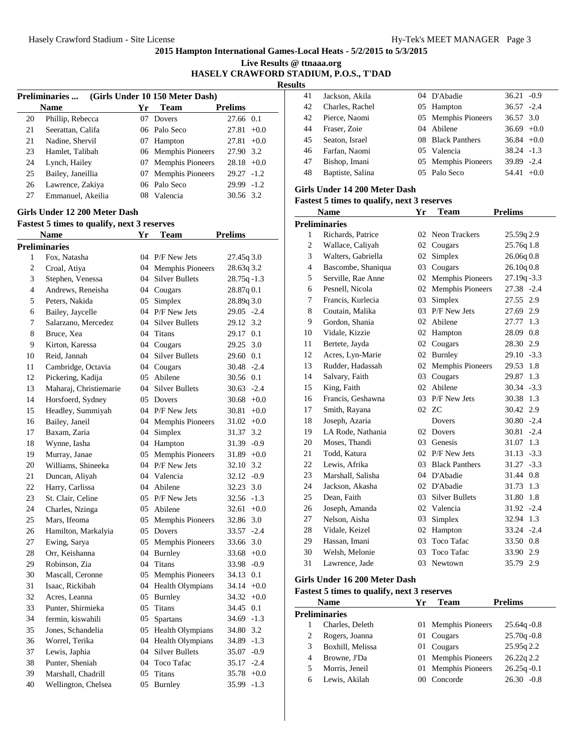**Live Results @ ttnaaa.org**

**HASELY CRAWFORD STADIUM, P.O.S., T'DAD**

**Results**

|    | <b>Name</b>       | Yг           | <b>Team</b>         |                 |
|----|-------------------|--------------|---------------------|-----------------|
|    |                   |              |                     | <b>Prelims</b>  |
| 20 | Phillip, Rebecca  | $07^{\circ}$ | Dovers              | 27.66 0.1       |
| 21 | Seerattan, Califa |              | 06 Palo Seco        | 27.81<br>$+0.0$ |
| 21 | Nadine, Shervil   | 07           | Hampton             | 27.81<br>$+0.0$ |
| 23 | Hamlet, Talibah   |              | 06 Memphis Pioneers | 27.90 3.2       |
| 24 | Lynch, Hailey     |              | 07 Memphis Pioneers | $28.18 + 0.0$   |
| 25 | Bailey, Janeillia |              | 07 Memphis Pioneers | $29.27 - 1.2$   |
| 26 | Lawrence, Zakiya  |              | 06 Palo Seco        | $29.99 - 1.2$   |
| 27 | Emmanuel, Akeilia |              | 08 Valencia         | 30.56 3.2       |

## **Girls Under 12 200 Meter Dash**

# **Fastest 5 times to qualify, next 3 reserves**

|                          | Name                   | Yr | Team                    | <b>Prelims</b>  |
|--------------------------|------------------------|----|-------------------------|-----------------|
|                          | <b>Preliminaries</b>   |    |                         |                 |
| $\mathbf{1}$             | Fox, Natasha           |    | 04 P/F New Jets         | 27.45q 3.0      |
| 2                        | Croal, Atiya           |    | 04 Memphis Pioneers     | 28.63q 3.2      |
| 3                        | Stephen, Venessa       | 04 | <b>Silver Bullets</b>   | $28.75q - 1.3$  |
| $\overline{\mathcal{L}}$ | Andrews, Reneisha      |    | 04 Cougars              | 28.87q 0.1      |
| 5                        | Peters, Nakida         | 05 | Simplex                 | 28.89q 3.0      |
| 6                        | Bailey, Jaycelle       | 04 | P/F New Jets            | 29.05 -2.4      |
| 7                        | Salarzano, Mercedez    |    | 04 Silver Bullets       | 29.12<br>3.2    |
| 8                        | Bruce, Xea             | 04 | Titans                  | 29.17 0.1       |
| 9                        | Kirton, Karessa        |    | 04 Cougars              | 3.0<br>29.25    |
| 10                       | Reid, Jannah           |    | 04 Silver Bullets       | 29.60 0.1       |
| 11                       | Cambridge, Octavia     |    | 04 Cougars              | $30.48 - 2.4$   |
| 12                       | Pickering, Kadija      |    | 05 Abilene              | 30.56 0.1       |
| 13                       | Maharaj, Christiemarie | 04 | <b>Silver Bullets</b>   | $30.63 - 2.4$   |
| 14                       | Horsfoerd, Sydney      | 05 | Dovers                  | $30.68 + 0.0$   |
| 15                       | Headley, Summiyah      |    | 04 P/F New Jets         | 30.81<br>$+0.0$ |
| 16                       | Bailey, Janeil         |    | 04 Memphis Pioneers     | $31.02 +0.0$    |
| 17                       | Baxam, Zaria           | 04 | Simplex                 | 3.2<br>31.37    |
| 18                       | Wynne, Iasha           | 04 | Hampton                 | 31.39<br>$-0.9$ |
| 19                       | Murray, Janae          | 05 | Memphis Pioneers        | $31.89 + 0.0$   |
| 20                       | Williams, Shineeka     |    | 04 P/F New Jets         | 32.10 3.2       |
| 21                       | Duncan, Aliyah         |    | 04 Valencia             | $32.12 -0.9$    |
| 22                       | Harry, Carlissa        | 04 | Abilene                 | 32.23 3.0       |
| 23                       | St. Clair, Celine      |    | 05 P/F New Jets         | $32.56 - 1.3$   |
| 24                       | Charles, Nzinga        |    | 05 Abilene              | $+0.0$<br>32.61 |
| 25                       | Mars, Ifeoma           |    | 05 Memphis Pioneers     | 32.86 3.0       |
| 26                       | Hamilton, Markalyia    | 05 | Dovers                  | $-2.4$<br>33.57 |
| 27                       | Ewing, Sarya           | 05 | <b>Memphis Pioneers</b> | 33.66 3.0       |
| 28                       | Orr, Keishanna         | 04 | Burnley                 | $33.68 + 0.0$   |
| 29                       | Robinson, Zia          | 04 | Titans                  | 33.98 -0.9      |
| 30                       | Mascall, Ceronne       | 05 | <b>Memphis Pioneers</b> | 34.13 0.1       |
| 31                       | Isaac, Rickibah        | 04 | Health Olympians        | $34.14 +0.0$    |
| 32                       | Acres, Leanna          | 05 | Burnley                 | $34.32 +0.0$    |
| 33                       | Punter, Shirmieka      | 05 | <b>Titans</b>           | 34.45 0.1       |
| 34                       | fermin, kiswahili      | 05 | Spartans                | $34.69 - 1.3$   |
| 35                       | Jones, Schandelia      | 05 | Health Olympians        | 34.80 3.2       |
| 36                       | Worrel, Terika         | 04 | Health Olympians        | $-1.3$<br>34.89 |
| 37                       | Lewis, Japhia          | 04 | <b>Silver Bullets</b>   | $-0.9$<br>35.07 |
| 38                       | Punter, Sheniah        |    | 04 Toco Tafac           | 35.17 -2.4      |
| 39                       | Marshall, Chadrill     | 05 | Titans                  | 35.78<br>$+0.0$ |
| 40                       | Wellington, Chelsea    | 05 | <b>Burnley</b>          | 35.99 -1.3      |

| 41 | Jackson, Akila   | 04 D'Abadie         | $36.21 - 0.9$ |        |
|----|------------------|---------------------|---------------|--------|
| 42 | Charles, Rachel  | 05 Hampton          | $36.57 - 2.4$ |        |
| 42 | Pierce, Naomi    | 05 Memphis Pioneers | 36.57 3.0     |        |
| 44 | Fraser, Zoie     | 04 Abilene          | $36.69 + 0.0$ |        |
| 45 | Seaton, Israel   | 08 Black Panthers   | $36.84 + 0.0$ |        |
| 46 | Farfan, Naomi    | 05 Valencia         | $38.24 - 1.3$ |        |
| 47 | Bishop, Imani    | 05 Memphis Pioneers | 39.89 -2.4    |        |
| 48 | Baptiste, Salina | 05 Palo Seco        | 54.41         | $+0.0$ |
|    |                  |                     |               |        |

## **Girls Under 14 200 Meter Dash**

## **Fastest 5 times to qualify, next 3 reserves**

| <b>Name</b>    |                      | Yr | Team                    | <b>Prelims</b>  |  |  |  |  |  |
|----------------|----------------------|----|-------------------------|-----------------|--|--|--|--|--|
|                | <b>Preliminaries</b> |    |                         |                 |  |  |  |  |  |
| $\mathbf{1}$   | Richards, Patrice    | 02 | Neon Trackers           | 25.59q 2.9      |  |  |  |  |  |
| $\overline{c}$ | Wallace, Caliyah     | 02 | Cougars                 | 25.76q 1.8      |  |  |  |  |  |
| 3              | Walters, Gabriella   | 02 | Simplex                 | 26.06q 0.8      |  |  |  |  |  |
| $\overline{4}$ | Bascombe, Shaniqua   | 03 | Cougars                 | 26.10q0.8       |  |  |  |  |  |
| 5              | Serville, Rae Anne   | 02 | <b>Memphis Pioneers</b> | $27.19q - 3.3$  |  |  |  |  |  |
| 6              | Pesnell, Nicola      | 02 | <b>Memphis Pioneers</b> | 27.38 -2.4      |  |  |  |  |  |
| 7              | Francis, Kurlecia    | 03 | Simplex                 | 27.55 2.9       |  |  |  |  |  |
| 8              | Coutain, Malika      | 03 | P/F New Jets            | 27.69 2.9       |  |  |  |  |  |
| 9              | Gordon, Shania       | 02 | Abilene                 | 27.77 1.3       |  |  |  |  |  |
| 10             | Vidale, Kizzie       |    | 02 Hampton              | 28.09 0.8       |  |  |  |  |  |
| 11             | Bertete, Jayda       | 02 | Cougars                 | 28.30 2.9       |  |  |  |  |  |
| 12             | Acres, Lyn-Marie     | 02 | <b>Burnley</b>          | $29.10 - 3.3$   |  |  |  |  |  |
| 13             | Rudder, Hadassah     | 02 | <b>Memphis Pioneers</b> | 29.53<br>1.8    |  |  |  |  |  |
| 14             | Salvary, Faith       | 03 | Cougars                 | 1.3<br>29.87    |  |  |  |  |  |
| 15             | King, Faith          | 02 | Abilene                 | $30.34 - 3.3$   |  |  |  |  |  |
| 16             | Francis, Geshawna    | 03 | P/F New Jets            | 30.38 1.3       |  |  |  |  |  |
| 17             | Smith, Rayana        |    | 02 ZC                   | 30.42 2.9       |  |  |  |  |  |
| 18             | Joseph, Azaria       |    | Dovers                  | $30.80 - 2.4$   |  |  |  |  |  |
| 19             | LA Rode, Nathania    | 02 | Dovers                  | 30.81<br>$-2.4$ |  |  |  |  |  |
| 20             | Moses. Thandi        | 03 | Genesis                 | 31.07<br>1.3    |  |  |  |  |  |
| 21             | Todd, Katura         | 02 | P/F New Jets            | $31.13 - 3.3$   |  |  |  |  |  |
| 22             | Lewis, Afrika        |    | 03 Black Panthers       | $31.27 - 3.3$   |  |  |  |  |  |
| 23             | Marshall, Salisha    |    | 04 D'Abadie             | 31.44 0.8       |  |  |  |  |  |
| 24             | Jackson, Akasha      |    | 02 D'Abadie             | 31.73<br>1.3    |  |  |  |  |  |
| 25             | Dean, Faith          |    | 03 Silver Bullets       | 31.80 1.8       |  |  |  |  |  |
| 26             | Joseph, Amanda       |    | 02 Valencia             | 31.92 -2.4      |  |  |  |  |  |
| 27             | Nelson, Aisha        | 03 | Simplex                 | 32.94<br>1.3    |  |  |  |  |  |
| 28             | Vidale, Keizel       | 02 | Hampton                 | 33.24 -2.4      |  |  |  |  |  |
| 29             | Hassan, Imani        | 03 | <b>Toco Tafac</b>       | 33.50 0.8       |  |  |  |  |  |
| 30             | Welsh, Melonie       | 03 | <b>Toco Tafac</b>       | 2.9<br>33.90    |  |  |  |  |  |
| 31             | Lawrence, Jade       | 03 | Newtown                 | 35.79 2.9       |  |  |  |  |  |
|                |                      |    |                         |                 |  |  |  |  |  |

## **Girls Under 16 200 Meter Dash**

| <b>Name</b> |                  | Yr | <b>Team</b>         | <b>Prelims</b> |  |  |  |  |
|-------------|------------------|----|---------------------|----------------|--|--|--|--|
|             | Preliminaries    |    |                     |                |  |  |  |  |
|             | Charles, Deleth  |    | 01 Memphis Pioneers | $25.64q - 0.8$ |  |  |  |  |
|             | Rogers, Joanna   |    | 01 Cougars          | $25.70q - 0.8$ |  |  |  |  |
| 3           | Boxhill, Melissa |    | 01 Cougars          | 25.95q 2.2     |  |  |  |  |
| 4           | Browne, J'Da     |    | 01 Memphis Pioneers | 26.22q 2.2     |  |  |  |  |
| 5.          | Morris, Jeneil   |    | 01 Memphis Pioneers | $26.25q - 0.1$ |  |  |  |  |
| 6           | Lewis, Akilah    |    | Concorde            | $26.30 - 0.8$  |  |  |  |  |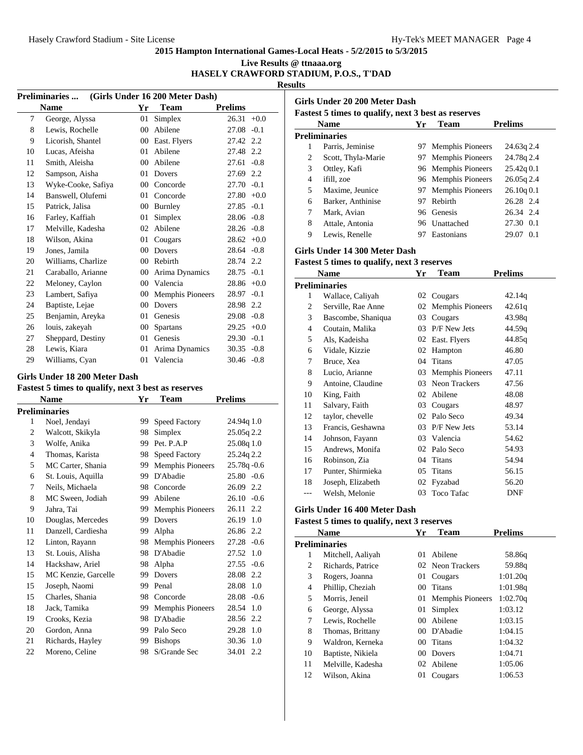# **Live Results @ ttnaaa.org**

## **HASELY CRAWFORD STADIUM, P.O.S., T'DAD**

**Results**

| <b>Preliminaries</b><br>(Girls Under 16 200 Meter Dash) |                                        |        |                  |                |        |  |
|---------------------------------------------------------|----------------------------------------|--------|------------------|----------------|--------|--|
|                                                         | <b>Name</b>                            | Yr     | <b>Team</b>      | <b>Prelims</b> |        |  |
| $\overline{7}$                                          | George, Alyssa                         | 01     | Simplex          | 26.31          | $+0.0$ |  |
| 8                                                       | Lewis, Rochelle                        | $00\,$ | Abilene          | 27.08          | $-0.1$ |  |
| 9                                                       | Licorish, Shantel                      | $00\,$ | East. Flyers     | 27.42 2.2      |        |  |
| 10                                                      | Lucas, Afeisha                         | 01     | Abilene          | 27.48 2.2      |        |  |
| 11                                                      | Smith, Aleisha                         | $00\,$ | Abilene          | 27.61          | $-0.8$ |  |
| 12                                                      | Sampson, Aisha                         | 01     | Dovers           | 27.69 2.2      |        |  |
| 13                                                      | Wyke-Cooke, Safiya                     | $00\,$ | Concorde         | $27.70 - 0.1$  |        |  |
| 14                                                      | Banswell, Olufemi                      | 01     | Concorde         | $27.80 + 0.0$  |        |  |
| 15                                                      | Patrick, Jalisa                        | $00\,$ | Burnley          | $27.85 - 0.1$  |        |  |
| 16                                                      | Farley, Kaffiah                        | 01     | Simplex          | $28.06 - 0.8$  |        |  |
| 17                                                      | Melville, Kadesha                      | 02     | Abilene          | $28.26 - 0.8$  |        |  |
| 18                                                      | Wilson, Akina                          | 01     | Cougars          | $28.62 +0.0$   |        |  |
| 19                                                      | Jones, Jamila                          | $00\,$ | Dovers           | $28.64 - 0.8$  |        |  |
| 20                                                      | Williams, Charlize                     | $00\,$ | Rebirth          | 28.74 2.2      |        |  |
| 21                                                      | Caraballo, Arianne                     | $00\,$ | Arima Dynamics   | $28.75 - 0.1$  |        |  |
| 22                                                      | Meloney, Caylon                        | $00\,$ | Valencia         | $28.86 + 0.0$  |        |  |
| 23                                                      | Lambert, Safiya                        | 00     | Memphis Pioneers | 28.97          | $-0.1$ |  |
| 24                                                      | Baptiste, Lejae                        | $00\,$ | Dovers           | 28.98 2.2      |        |  |
| 25                                                      | Benjamin, Areyka                       | 01     | Genesis          | 29.08          | $-0.8$ |  |
| 26                                                      | louis, zakeyah                         | $00\,$ | <b>Spartans</b>  | $29.25 +0.0$   |        |  |
| 27                                                      | Sheppard, Destiny                      | 01     | Genesis          | 29.30          | $-0.1$ |  |
| 28                                                      | Lewis, Kiara                           | 01     | Arima Dynamics   | $30.35 -0.8$   |        |  |
| 29                                                      | Williams, Cyan                         | 01     | Valencia         | $30.46 - 0.8$  |        |  |
|                                                         | $C_{\rm{mls}}$ Under 19.200 Meter Deck |        |                  |                |        |  |

#### **Girls Under 18 200 Meter Dash**

# **Fastest 5 times to qualify, next 3 best as reserves**

| <b>Name</b>          |    | Team                    | <b>Prelims</b>  |
|----------------------|----|-------------------------|-----------------|
| <b>Preliminaries</b> |    |                         |                 |
| Noel, Jendayi        | 99 | Speed Factory           | 24.94q 1.0      |
| Walcott, Skikyla     | 98 | Simplex                 | 25.05q 2.2      |
| Wolfe, Anika         | 99 | Pet. P.A.P              | 25.08q 1.0      |
| Thomas, Karista      | 98 | <b>Speed Factory</b>    | 25.24q 2.2      |
| MC Carter, Shania    | 99 | <b>Memphis Pioneers</b> | $25.78q - 0.6$  |
| St. Louis, Aquilla   | 99 | D'Abadie                | $25.80 - 0.6$   |
| Neils, Michaela      | 98 | Concorde                | 26.09 2.2       |
| MC Sween, Jodiah     | 99 | Abilene                 | $26.10 - 0.6$   |
| Jahra, Tai           | 99 | <b>Memphis Pioneers</b> | 26.11 2.2       |
| Douglas, Mercedes    | 99 | <b>Dovers</b>           | 26.19 1.0       |
| Danzell, Cardiesha   | 99 | Alpha                   | 26.86 2.2       |
| Linton, Rayann       | 98 | <b>Memphis Pioneers</b> | $27.28 - 0.6$   |
| St. Louis, Alisha    | 98 | D'Abadie                | 1.0<br>27.52    |
| Hackshaw, Ariel      | 98 | Alpha                   | 27.55<br>$-0.6$ |
| MC Kenzie, Garcelle  | 99 | <b>Dovers</b>           | 28.08 2.2       |
| Joseph, Naomi        | 99 | Penal                   | 28.08<br>1.0    |
| Charles, Shania      | 98 | Concorde                | $28.08 - 0.6$   |
| Jack, Tamika         | 99 | <b>Memphis Pioneers</b> | 28.54<br>1.0    |
| Crooks, Kezia        | 98 | D'Abadie                | 28.56 2.2       |
| Gordon, Anna         | 99 | Palo Seco               | 29.28 1.0       |
| Richards, Hayley     | 99 | <b>Bishops</b>          | 30.36<br>1.0    |
| Moreno, Celine       | 98 | S/Grande Sec            | 34.01<br>2.2    |
|                      |    | Yr                      |                 |

| Girls Under 20 200 Meter Dash<br><b>Fastest 5 times to qualify, next 3 best as reserves</b> |                      |     |                         |              |  |  |  |
|---------------------------------------------------------------------------------------------|----------------------|-----|-------------------------|--------------|--|--|--|
| <b>Prelims</b><br><b>Name</b><br><b>Team</b><br>Yr                                          |                      |     |                         |              |  |  |  |
|                                                                                             | <b>Preliminaries</b> |     |                         |              |  |  |  |
| 1                                                                                           | Parris, Jeminise     | 97  | <b>Memphis Pioneers</b> | 24.63g 2.4   |  |  |  |
| 2                                                                                           | Scott, Thyla-Marie   | 97. | <b>Memphis Pioneers</b> | 24.78q 2.4   |  |  |  |
| 3                                                                                           | Ottley, Kafi         |     | 96 Memphis Pioneers     | 25.42q0.1    |  |  |  |
| 4                                                                                           | ifill, zoe           |     | 96 Memphis Pioneers     | $26.05q$ 2.4 |  |  |  |
| 5                                                                                           | Maxime, Jeunice      | 97  | <b>Memphis Pioneers</b> | 26.10q0.1    |  |  |  |
| 6                                                                                           | Barker, Anthinise    | 97  | Rebirth                 | 26.28 2.4    |  |  |  |
| 7                                                                                           | Mark, Avian          | 96. | Genesis                 | 26.34 2.4    |  |  |  |
| 8                                                                                           | Attale, Antonia      | 96  | Unattached              | 27.30 0.1    |  |  |  |
| 9                                                                                           | Lewis, Renelle       |     | Eastonians              | 29.07<br>0.1 |  |  |  |

## **Girls Under 14 300 Meter Dash**

#### **Fastest 5 times to qualify, next 3 reserves**

| Name |                    | Yr | Team                    | <b>Prelims</b> |
|------|--------------------|----|-------------------------|----------------|
|      | Preliminaries      |    |                         |                |
| 1    | Wallace, Caliyah   | 02 | Cougars                 | 42.14q         |
| 2    | Serville, Rae Anne | 02 | <b>Memphis Pioneers</b> | 42.61q         |
| 3    | Bascombe, Shaniqua | 03 | Cougars                 | 43.98q         |
| 4    | Coutain, Malika    | 03 | P/F New Jets            | 44.59q         |
| 5    | Als, Kadeisha      | 02 | East. Flyers            | 44.85q         |
| 6    | Vidale, Kizzie     | 02 | Hampton                 | 46.80          |
| 7    | Bruce, Xea         | 04 | Titans                  | 47.05          |
| 8    | Lucio, Arianne     | 03 | Memphis Pioneers        | 47.11          |
| 9    | Antoine, Claudine  | 03 | Neon Trackers           | 47.56          |
| 10   | King, Faith        | 02 | Abilene                 | 48.08          |
| 11   | Salvary, Faith     | 03 | Cougars                 | 48.97          |
| 12   | taylor, chevelle   | 02 | Palo Seco               | 49.34          |
| 13   | Francis, Geshawna  | 03 | P/F New Jets            | 53.14          |
| 14   | Johnson, Fayann    | 03 | Valencia                | 54.62          |
| 15   | Andrews, Monifa    | 02 | Palo Seco               | 54.93          |
| 16   | Robinson, Zia      | 04 | Titans                  | 54.94          |
| 17   | Punter, Shirmieka  | 05 | Titans                  | 56.15          |
| 18   | Joseph, Elizabeth  | 02 | Fyzabad                 | 56.20          |
| ---  | Welsh, Melonie     | 03 | <b>Toco Tafac</b>       | <b>DNF</b>     |

## **Girls Under 16 400 Meter Dash**

| <b>Name</b>    |                      | Yr              | <b>Team</b>         | <b>Prelims</b> |  |
|----------------|----------------------|-----------------|---------------------|----------------|--|
|                | <b>Preliminaries</b> |                 |                     |                |  |
| 1              | Mitchell, Aaliyah    | 01              | Abilene             | 58.86g         |  |
| 2              | Richards, Patrice    |                 | 02 Neon Trackers    | 59.88g         |  |
| 3              | Rogers, Joanna       | 01              | Cougars             | 1:01.20q       |  |
| $\overline{4}$ | Phillip, Cheziah     | 00 <sup>1</sup> | Titans              | 1:01.98g       |  |
| 5              | Morris, Jeneil       |                 | 01 Memphis Pioneers | 1:02.70q       |  |
| 6              | George, Alyssa       | 01              | Simplex             | 1:03.12        |  |
| 7              | Lewis, Rochelle      | 00 <sup>1</sup> | Abilene             | 1:03.15        |  |
| 8              | Thomas, Brittany     | 00 <sup>°</sup> | D'Abadie            | 1:04.15        |  |
| 9              | Waldron, Kerneka     | 00 <sup>1</sup> | Titans              | 1:04.32        |  |
| 10             | Baptiste, Nikiela    | 00 <sup>1</sup> | Dovers              | 1:04.71        |  |
| 11             | Melville, Kadesha    | 02              | Abilene             | 1:05.06        |  |
| 12             | Wilson, Akina        | 01              | Cougars             | 1:06.53        |  |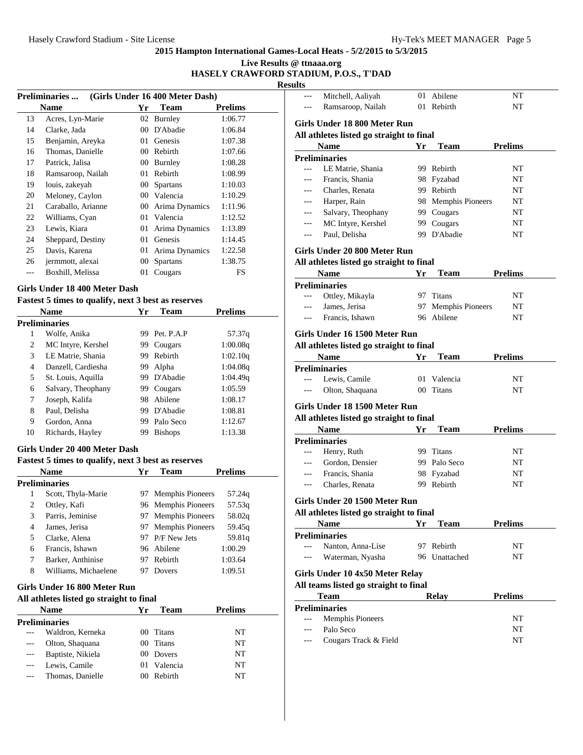## **Live Results @ ttnaaa.org HASELY CRAWFORD STADIUM, P.O.S., T'DAD**

**Resul** 

| (Girls Under 16 400 Meter Dash)<br><b>Preliminaries</b> |                    |                 |                 |                |  |
|---------------------------------------------------------|--------------------|-----------------|-----------------|----------------|--|
|                                                         | <b>Name</b>        | Yr              | <b>Team</b>     | <b>Prelims</b> |  |
| 13                                                      | Acres, Lyn-Marie   | 02              | Burnley         | 1:06.77        |  |
| 14                                                      | Clarke, Jada       | 00              | D'Abadie        | 1:06.84        |  |
| 15                                                      | Benjamin, Areyka   | 01              | Genesis         | 1:07.38        |  |
| 16                                                      | Thomas, Danielle   | 00 <sup>1</sup> | Rebirth         | 1:07.66        |  |
| 17                                                      | Patrick, Jalisa    | 00              | Burnley         | 1:08.28        |  |
| 18                                                      | Ramsaroop, Nailah  | 01              | Rebirth         | 1:08.99        |  |
| 19                                                      | louis, zakeyah     | 00              | <b>Spartans</b> | 1:10.03        |  |
| 20                                                      | Meloney, Caylon    | 00 <sup>1</sup> | Valencia        | 1:10.29        |  |
| 21                                                      | Caraballo, Arianne | 00              | Arima Dynamics  | 1:11.96        |  |
| 22                                                      | Williams, Cyan     | 01              | Valencia        | 1:12.52        |  |
| 23                                                      | Lewis, Kiara       | 01              | Arima Dynamics  | 1:13.89        |  |
| 24                                                      | Sheppard, Destiny  | 01              | Genesis         | 1:14.45        |  |
| 25                                                      | Davis, Karena      | 01              | Arima Dynamics  | 1:22.58        |  |
| 26                                                      | jermmott, alexai   | 00              | <b>Spartans</b> | 1:38.75        |  |
|                                                         | Boxhill, Melissa   | 01              | Cougars         | FS             |  |

## **Girls Under 18 400 Meter Dash**

| Fastest 5 times to qualify, next 3 best as reserves |  |  |  |  |  |  |  |  |
|-----------------------------------------------------|--|--|--|--|--|--|--|--|
|-----------------------------------------------------|--|--|--|--|--|--|--|--|

|    | Name                 | Yr | <b>Team</b>    | <b>Prelims</b> |
|----|----------------------|----|----------------|----------------|
|    | <b>Preliminaries</b> |    |                |                |
| 1  | Wolfe, Anika         | 99 | Pet. P.A.P     | 57.37g         |
| 2  | MC Intyre, Kershel   | 99 | Cougars        | 1:00.08q       |
| 3  | LE Matrie, Shania    | 99 | Rebirth        | 1:02.10q       |
| 4  | Danzell, Cardiesha   | 99 | Alpha          | 1:04.08q       |
| 5  | St. Louis, Aquilla   | 99 | D'Abadie       | 1:04.49q       |
| 6  | Salvary, Theophany   | 99 | Cougars        | 1:05.59        |
| 7  | Joseph, Kalifa       | 98 | Abilene        | 1:08.17        |
| 8  | Paul, Delisha        | 99 | D'Abadie       | 1:08.81        |
| 9  | Gordon, Anna         | 99 | Palo Seco      | 1:12.67        |
| 10 | Richards, Hayley     | 99 | <b>Bishops</b> | 1:13.38        |

#### **Girls Under 20 400 Meter Dash**

#### **Fastest 5 times to qualify, next 3 best as reserves**

| <b>Name</b> |                      | Yг  | Team                | Prelims |
|-------------|----------------------|-----|---------------------|---------|
|             | <b>Preliminaries</b> |     |                     |         |
| 1           | Scott, Thyla-Marie   | 97. | Memphis Pioneers    | 57.24q  |
| 2           | Ottley, Kafi         |     | 96 Memphis Pioneers | 57.53g  |
| 3           | Parris, Jeminise     |     | 97 Memphis Pioneers | 58.02g  |
| 4           | James, Jerisa        |     | 97 Memphis Pioneers | 59.45g  |
| 5           | Clarke, Alena        | 97. | P/F New Jets        | 59.81q  |
| 6           | Francis, Ishawn      |     | 96 Abilene          | 1:00.29 |
| 7           | Barker, Anthinise    | 97  | Rebirth             | 1:03.64 |
| 8           | Williams, Michaelene |     | Dovers              | 1:09.51 |

## **Girls Under 16 800 Meter Run**

| <b>Name</b> |                      | Ұr       | <b>Team</b> | Prelims |
|-------------|----------------------|----------|-------------|---------|
|             | <b>Preliminaries</b> |          |             |         |
|             | Waldron, Kerneka     | (0()     | Titans      | NT      |
| $---$       | Olton, Shaquana      | $\Omega$ | Titans      | NT      |
| $---$       | Baptiste, Nikiela    | (0()     | Dovers      | NT      |
|             | Lewis, Camile        | $^{01}$  | Valencia    | NT      |
|             | Thomas, Danielle     | (x)      | Rebirth     | NT      |
|             |                      |          |             |         |

|                         | Mitchell, Aaliyah                                       |    | 01 Abilene          | NΤ             |
|-------------------------|---------------------------------------------------------|----|---------------------|----------------|
| ---                     | Ramsaroop, Nailah                                       |    | 01 Rebirth          | NT             |
|                         | Girls Under 18 800 Meter Run                            |    |                     |                |
|                         | All athletes listed go straight to final                |    |                     |                |
|                         | <b>Name</b>                                             | Yr | Team                | <b>Prelims</b> |
|                         | <b>Preliminaries</b>                                    |    |                     |                |
| $\overline{a}$          | LE Matrie, Shania                                       |    | 99 Rebirth          | NT             |
| $---$                   | Francis, Shania                                         |    | 98 Fyzabad          | NT             |
|                         | Charles, Renata                                         |    | 99 Rebirth          | NT             |
|                         | Harper, Rain                                            |    | 98 Memphis Pioneers | NT             |
| $---$                   | Salvary, Theophany                                      |    | 99 Cougars          | NT             |
| $---$                   | MC Intyre, Kershel                                      |    | 99 Cougars          | NT             |
| ---                     | Paul, Delisha                                           |    | 99 D'Abadie         | NT             |
|                         | Girls Under 20 800 Meter Run                            |    |                     |                |
|                         | All athletes listed go straight to final                |    |                     |                |
|                         | <b>Name</b>                                             | Yr | Team                | <b>Prelims</b> |
|                         | <b>Preliminaries</b>                                    |    |                     |                |
|                         | Ottley, Mikayla                                         |    | 97 Titans           | NT             |
| $---$                   | James, Jerisa                                           |    | 97 Memphis Pioneers | NT             |
| $---$                   | Francis, Ishawn                                         |    | 96 Abilene          | NT             |
|                         | Girls Under 16 1500 Meter Run                           |    |                     |                |
|                         | All athletes listed go straight to final                |    |                     |                |
|                         | <b>Name</b>                                             | Yr | <b>Team</b>         | <b>Prelims</b> |
|                         | <b>Preliminaries</b>                                    |    |                     |                |
|                         | Lewis, Camile                                           |    | 01 Valencia         | NT             |
| ---                     | Olton, Shaquana                                         |    | 00 Titans           | NT             |
|                         | Girls Under 18 1500 Meter Run                           |    |                     |                |
|                         | All athletes listed go straight to final                |    |                     |                |
|                         |                                                         |    | <b>Team</b>         | <b>Prelims</b> |
|                         | <b>Name</b>                                             | Yr |                     |                |
|                         | <b>Preliminaries</b>                                    |    |                     |                |
| ---                     | Henry, Ruth                                             |    | 99 Titans           | NT             |
|                         | Gordon, Densier                                         |    | 99 Palo Seco        | NT             |
|                         | Francis, Shania                                         |    | 98 Fyzabad          | NT             |
| $---$<br>$---$<br>$---$ | Charles, Renata                                         |    | 99 Rebirth          | NΤ             |
|                         |                                                         |    |                     |                |
|                         | Girls Under 20 1500 Meter Run                           |    |                     |                |
|                         | All athletes listed go straight to final<br><b>Name</b> | Yr | <b>Team</b>         | <b>Prelims</b> |
|                         | <b>Preliminaries</b>                                    |    |                     |                |
| $---$                   | Nanton, Anna-Lise                                       |    | 97 Rebirth          | NT             |
|                         | Waterman, Nyasha                                        |    | 96 Unattached       | NT             |
|                         |                                                         |    |                     |                |
|                         | Girls Under 10 4x50 Meter Relay                         |    |                     |                |
|                         | All teams listed go straight to final                   |    |                     |                |
|                         | Team                                                    |    | <b>Relay</b>        | <b>Prelims</b> |
| ---                     | <b>Preliminaries</b>                                    |    |                     |                |
|                         | Memphis Pioneers                                        |    |                     | NΤ             |
|                         | Palo Seco<br>Cougars Track & Field                      |    |                     | NΤ<br>NΤ       |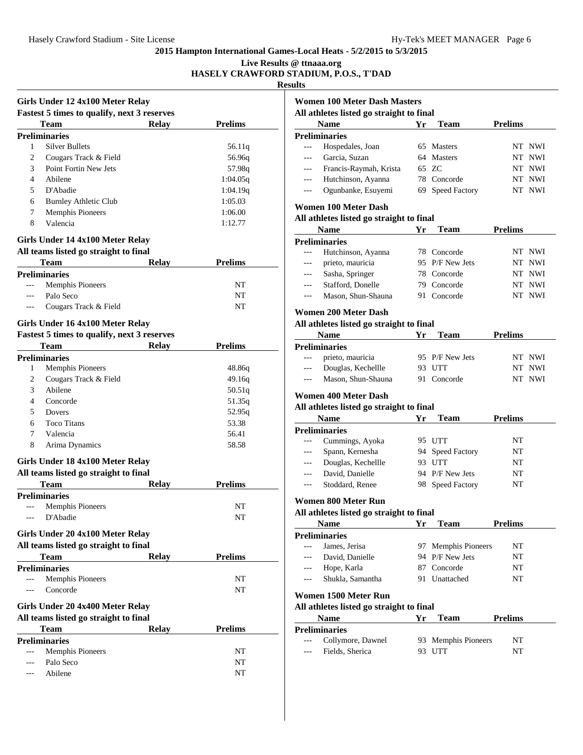**Live Results @ ttnaaa.org**

## **HASELY CRAWFORD STADIUM, P.O.S., T'DAD**

**Results**

|       | Girls Under 12 4x100 Meter Relay                   |              |                |
|-------|----------------------------------------------------|--------------|----------------|
|       | <b>Fastest 5 times to qualify, next 3 reserves</b> |              |                |
|       | Team                                               | <b>Relay</b> | <b>Prelims</b> |
|       | <b>Preliminaries</b>                               |              |                |
| 1     | <b>Silver Bullets</b>                              |              | 56.11q         |
| 2     | Cougars Track & Field                              |              | 56.96q         |
| 3     | Point Fortin New Jets                              |              | 57.98q         |
| 4     | Abilene                                            |              | 1:04.05q       |
| 5     | D'Abadie                                           |              | 1:04.19q       |
| 6     | <b>Burnley Athletic Club</b>                       |              | 1:05.03        |
| 7     | <b>Memphis Pioneers</b>                            |              | 1:06.00        |
| 8     | Valencia                                           |              | 1:12.77        |
|       | Girls Under 14 4x100 Meter Relay                   |              |                |
|       | All teams listed go straight to final              |              |                |
|       | Team                                               | <b>Relay</b> | <b>Prelims</b> |
|       | <b>Preliminaries</b>                               |              |                |
| $---$ | <b>Memphis Pioneers</b>                            |              | NT             |
|       | Palo Seco                                          |              | NT             |
|       | Cougars Track & Field                              |              | NT             |
|       |                                                    |              |                |
|       | Girls Under 16 4x100 Meter Relay                   |              |                |
|       | <b>Fastest 5 times to qualify, next 3 reserves</b> |              |                |
|       | <b>Team</b>                                        | <b>Relay</b> | <b>Prelims</b> |
|       | <b>Preliminaries</b>                               |              |                |
| 1     | <b>Memphis Pioneers</b>                            |              | 48.86q         |
| 2     | Cougars Track & Field                              |              | 49.16q         |
| 3     | Abilene                                            |              | 50.51q         |
| 4     | Concorde                                           |              | 51.35q         |
| 5     | Dovers                                             |              | 52.95q         |
| 6     | <b>Toco Titans</b>                                 |              | 53.38          |
| 7     | Valencia                                           |              | 56.41          |
| 8     | Arima Dynamics                                     |              | 58.58          |
|       | Girls Under 18 4x100 Meter Relay                   |              |                |
|       | All teams listed go straight to final              |              |                |
|       | Team                                               | <b>Relay</b> | <b>Prelims</b> |
|       | <b>Preliminaries</b>                               |              |                |
|       | <b>Memphis Pioneers</b>                            |              | NΤ             |
|       | D'Abadie                                           |              | NT             |
|       |                                                    |              |                |
|       | Girls Under 20 4x100 Meter Relay                   |              |                |
|       | All teams listed go straight to final              |              |                |
|       | <b>Team</b>                                        | Relay        | <b>Prelims</b> |
|       | <b>Preliminaries</b>                               |              |                |
| $---$ | <b>Memphis Pioneers</b>                            |              | NT             |
| $---$ | Concorde                                           |              | NT             |
|       | Girls Under 20 4x400 Meter Relay                   |              |                |
|       | All teams listed go straight to final              |              |                |
|       | Team                                               | <b>Relay</b> | <b>Prelims</b> |
|       | <b>Preliminaries</b>                               |              |                |
|       |                                                    |              | NT             |
|       |                                                    |              |                |
| ---   | <b>Memphis Pioneers</b>                            |              |                |
| ---   | Palo Seco<br>Abilene                               |              | NT<br>NT       |

|                | Name                                                                                                         | Yr  | Team                  | <b>Prelims</b> |        |
|----------------|--------------------------------------------------------------------------------------------------------------|-----|-----------------------|----------------|--------|
|                | <b>Preliminaries</b>                                                                                         |     |                       |                |        |
| $\overline{a}$ | Hospedales, Joan                                                                                             | 65  | Masters               |                | NT NWI |
| $---$          | Garcia, Suzan                                                                                                | 64  | <b>Masters</b>        |                | NT NWI |
| $---$          | Francis-Raymah, Krista                                                                                       |     | 65 ZC                 |                | NT NWI |
| $---$          | Hutchinson, Ayanna                                                                                           |     | 78 Concorde           |                | NT NWI |
| ---            | Ogunbanke, Esuyemi                                                                                           |     | 69 Speed Factory      |                | NT NWI |
|                | Women 100 Meter Dash                                                                                         |     |                       |                |        |
|                | All athletes listed go straight to final                                                                     |     |                       |                |        |
|                | <b>Name</b>                                                                                                  | Yr  | Team                  | <b>Prelims</b> |        |
|                | <b>Preliminaries</b>                                                                                         |     |                       |                |        |
| $\overline{a}$ | Hutchinson, Ayanna                                                                                           |     | 78 Concorde           |                | NT NWI |
| $---$          | prieto, mauricia                                                                                             |     | 95 P/F New Jets       |                | NT NWI |
| ---            | Sasha, Springer                                                                                              |     | 78 Concorde           |                | NT NWI |
| $---$          | Stafford, Donelle                                                                                            |     | 79 Concorde           |                | NT NWI |
| $\overline{a}$ | Mason, Shun-Shauna                                                                                           |     | 91 Concorde           |                | NT NWI |
|                | Women 200 Meter Dash                                                                                         |     |                       |                |        |
|                | All athletes listed go straight to final<br><b>Name</b>                                                      | Yr  | <b>Team</b>           | <b>Prelims</b> |        |
|                | <b>Preliminaries</b>                                                                                         |     |                       |                |        |
| $\overline{a}$ | prieto, mauricia                                                                                             |     | 95 P/F New Jets       |                | NT NWI |
|                |                                                                                                              |     |                       |                |        |
|                |                                                                                                              |     |                       |                |        |
| $---$<br>$---$ | Douglas, Kechellle<br>Mason, Shun-Shauna<br>Women 400 Meter Dash<br>All athletes listed go straight to final |     | 93 UTT<br>91 Concorde | NT NWI         | NT NWI |
|                | Name                                                                                                         | Yr  | <b>Team</b>           | <b>Prelims</b> |        |
|                | <b>Preliminaries</b>                                                                                         |     |                       |                |        |
| $\overline{a}$ | Cummings, Ayoka                                                                                              |     | 95 UTT                | NΤ             |        |
| $---$          | Spann, Kernesha                                                                                              |     | 94 Speed Factory      | NT             |        |
| $---$          | Douglas, Kechellle                                                                                           |     | 93 UTT                | NT             |        |
| $---$          | David, Danielle                                                                                              |     | 94 P/F New Jets       | NΤ             |        |
| $---$          | Stoddard, Renee                                                                                              |     | 98 Speed Factory      | NT             |        |
|                | Women 800 Meter Run                                                                                          |     |                       |                |        |
|                | All athletes listed go straight to final                                                                     |     |                       |                |        |
|                | <b>Name</b>                                                                                                  | Yr  | <b>Team</b>           | <b>Prelims</b> |        |
|                | <b>Preliminaries</b>                                                                                         |     |                       |                |        |
| $\overline{a}$ | James, Jerisa                                                                                                | 97  | Memphis Pioneers      | NΤ             |        |
|                | David, Danielle                                                                                              |     | 94 P/F New Jets       | NΤ             |        |
| ---            | Hope, Karla                                                                                                  |     | 87 Concorde           | NT             |        |
| $---$          | Shukla, Samantha                                                                                             | 91  | Unattached            | NΤ             |        |
|                | Women 1500 Meter Run                                                                                         |     |                       |                |        |
|                | All athletes listed go straight to final                                                                     |     |                       |                |        |
|                | Name                                                                                                         | Yr  | <b>Team</b>           | <b>Prelims</b> |        |
|                | <b>Preliminaries</b><br>Collymore, Dawnel                                                                    | 93. | Memphis Pioneers      | NT             |        |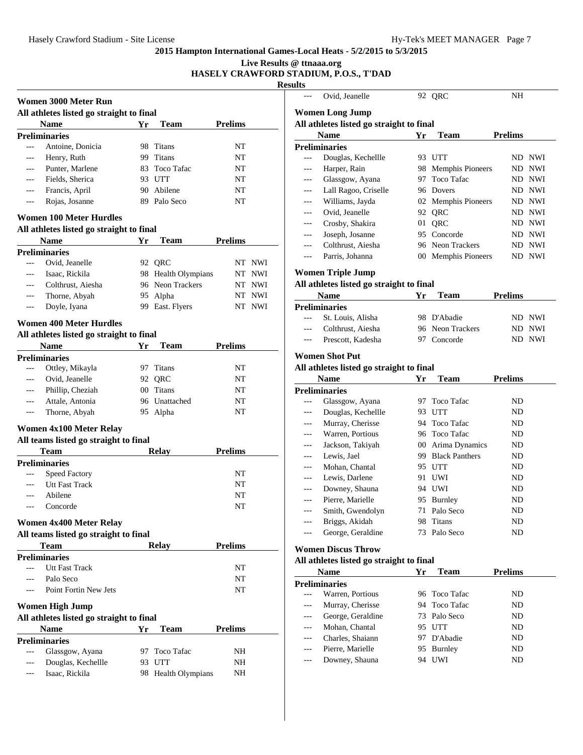**Live Results @ ttnaaa.org**

## **HASELY CRAWFORD STADIUM, P.O.S., T'DAD**

**Resu** 

|                                                                            | All athletes listed go straight to final |                         |                |
|----------------------------------------------------------------------------|------------------------------------------|-------------------------|----------------|
| <b>Name</b>                                                                | Yr                                       | Team                    | <b>Prelims</b> |
| <b>Preliminaries</b>                                                       |                                          |                         |                |
| Antoine, Donicia                                                           |                                          | 98 Titans               | NT             |
| Henry, Ruth                                                                |                                          | 99 Titans               | NT             |
| Punter, Marlene                                                            |                                          | 83 Toco Tafac           | NT             |
| Fields, Sherica                                                            |                                          | 93 UTT                  | NT             |
| Francis, April                                                             |                                          | 90 Abilene              | NT             |
| Rojas, Josanne                                                             |                                          | 89 Palo Seco            | NT             |
| <b>Women 100 Meter Hurdles</b><br>All athletes listed go straight to final |                                          |                         |                |
| Name                                                                       | Yr                                       | <b>Team</b>             | <b>Prelims</b> |
| <b>Preliminaries</b>                                                       |                                          |                         |                |
| Ovid, Jeanelle                                                             |                                          | 92 QRC                  | NT NWI         |
| Isaac, Rickila                                                             |                                          | 98 Health Olympians     | NT NWI         |
| Colthrust, Aiesha                                                          |                                          | 96 Neon Trackers        | NT NWI         |
| Thorne, Abyah                                                              |                                          | 95 Alpha                | NT NWI         |
| Doyle, Iyana                                                               |                                          | 99 East. Flyers         | NT NWI         |
|                                                                            |                                          |                         |                |
| Women 400 Meter Hurdles                                                    |                                          |                         |                |
| All athletes listed go straight to final                                   |                                          |                         |                |
| <b>Name</b>                                                                | Yr                                       | Team                    | <b>Prelims</b> |
| <b>Preliminaries</b>                                                       |                                          |                         |                |
| Ottley, Mikayla                                                            |                                          | 97 Titans               | NT             |
| Ovid, Jeanelle                                                             | 92                                       | QRC                     | NT             |
| Phillip, Cheziah                                                           |                                          | 00 Titans               | NT             |
| Attale, Antonia                                                            |                                          | 96 Unattached           | NΤ             |
| Thorne, Abyah                                                              |                                          | 95 Alpha                | NΤ             |
| Women 4x100 Meter Relay                                                    |                                          |                         |                |
| All teams listed go straight to final                                      |                                          |                         |                |
| <b>Team</b>                                                                |                                          | <b>Relay</b>            | <b>Prelims</b> |
| <b>Preliminaries</b>                                                       |                                          |                         |                |
| Speed Factory                                                              |                                          |                         | NΤ             |
| <b>Utt Fast Track</b>                                                      |                                          |                         | NT             |
| Abilene                                                                    |                                          |                         | NΤ             |
| Concorde                                                                   |                                          |                         | NΤ             |
| Women 4x400 Meter Relay                                                    |                                          |                         |                |
| All teams listed go straight to final                                      |                                          |                         |                |
| <b>Team</b>                                                                |                                          | Relay                   | <b>Prelims</b> |
| <b>Preliminaries</b>                                                       |                                          |                         |                |
| <b>Utt Fast Track</b>                                                      |                                          |                         | NT             |
| Palo Seco                                                                  |                                          |                         | NT             |
| Point Fortin New Jets                                                      |                                          |                         | NΤ             |
| <b>Women High Jump</b>                                                     |                                          |                         |                |
| All athletes listed go straight to final                                   |                                          |                         |                |
|                                                                            |                                          |                         |                |
| Name                                                                       |                                          |                         |                |
| <b>Preliminaries</b>                                                       |                                          |                         |                |
| Glassgow, Ayana<br>Douglas, Kechellle                                      |                                          | 97 Toco Tafac<br>93 UTT | NH<br>NH       |
|                                                                            | Yr                                       | Team                    | <b>Prelims</b> |

|     | Ovid, Jeanelle                           |          | 92 QRC                                 | NΗ             |            |
|-----|------------------------------------------|----------|----------------------------------------|----------------|------------|
|     | <b>Women Long Jump</b>                   |          |                                        |                |            |
|     | All athletes listed go straight to final |          |                                        |                |            |
|     | <b>Name</b>                              | Yr       | <b>Team</b>                            | <b>Prelims</b> |            |
|     | <b>Preliminaries</b>                     |          |                                        |                |            |
| --- | Douglas, Kechellle                       | 93       | UTT                                    | ND.            | <b>NWI</b> |
| --- | Harper, Rain                             | 98       | <b>Memphis Pioneers</b>                | ND             | NWI        |
| --- | Glassgow, Ayana                          | 97       | <b>Toco Tafac</b>                      | ND             | NWI        |
|     | Lall Ragoo, Criselle                     | 96       | Dovers                                 | ND             | <b>NWI</b> |
| --- | Williams, Jayda                          | 02       | <b>Memphis Pioneers</b>                | ND.            | <b>NWI</b> |
|     | Ovid, Jeanelle                           | 92       | QRC                                    | ND             | NWI        |
| --- | Crosby, Shakira                          | 01       | QRC                                    | ND             | <b>NWI</b> |
| --- | Joseph, Josanne                          | 95       | Concorde                               | ND.            | <b>NWI</b> |
| --- | Colthrust, Aiesha                        |          | 96 Neon Trackers                       | ND             | NWI        |
|     | Parris, Johanna                          |          | 00 Memphis Pioneers                    | ND.            | NWI        |
|     | Women Triple Jump                        |          |                                        |                |            |
|     | All athletes listed go straight to final |          |                                        |                |            |
|     | <b>Name</b>                              | Yr       | <b>Team</b>                            | <b>Prelims</b> |            |
|     | <b>Preliminaries</b>                     |          |                                        |                |            |
| --- | St. Louis, Alisha                        | 98       | D'Abadie                               | ND.            | NWI        |
| --- | Colthrust, Aiesha                        | 96       | Neon Trackers                          | ND             | <b>NWI</b> |
| --- | Prescott, Kadesha                        | 97       | Concorde                               | ND             | <b>NWI</b> |
|     |                                          |          |                                        |                |            |
|     | Women Shot Put                           |          |                                        |                |            |
|     |                                          |          |                                        |                |            |
|     | All athletes listed go straight to final |          |                                        |                |            |
|     | Name                                     | Yr       | <b>Team</b>                            | <b>Prelims</b> |            |
|     | Preliminaries                            |          |                                        |                |            |
|     | Glassgow, Ayana                          | 97       | Toco Tafac                             | ND             |            |
| --- | Douglas, Kechellle                       | 93<br>94 | UTT                                    | ND<br>ND       |            |
|     | Murray, Cherisse                         |          | Toco Tafac<br>96 Toco Tafac            | ND             |            |
|     | Warren, Portious                         |          |                                        | ND             |            |
|     | Jackson, Takiyah<br>Lewis, Jael          |          | 00 Arima Dynamics<br>99 Black Panthers | ND             |            |
| --- | Mohan, Chantal                           |          | 95 UTT                                 | ND             |            |
| --- | Lewis, Darlene                           | 91       | UWI                                    | ND             |            |
| --- | Downey, Shauna                           | 94       | UWI                                    | ND             |            |
| --- | Pierre, Marielle                         | 95       | Burnley                                | ND             |            |
|     | Smith, Gwendolyn                         | 71       | Palo Seco                              | ND             |            |
|     | Briggs, Akidah                           | 98       | <b>Titans</b>                          | ND             |            |
|     | George, Geraldine                        |          | 73 Palo Seco                           | ND             |            |
|     |                                          |          |                                        |                |            |
|     | <b>Women Discus Throw</b>                |          |                                        |                |            |
|     | All athletes listed go straight to final |          |                                        |                |            |
|     | Name                                     | Yr       | <b>Team</b>                            | <b>Prelims</b> |            |
|     | <b>Preliminaries</b><br>Warren, Portious | 96       | Toco Tafac                             | ND             |            |
|     | Murray, Cherisse                         |          | 94 Toco Tafac                          | ND             |            |
|     | George, Geraldine                        |          | 73 Palo Seco                           | ND             |            |
|     | Mohan, Chantal                           |          | 95 UTT                                 | ND             |            |
| --- | Charles, Shaiann                         |          | 97 D'Abadie                            | ND             |            |
| --- | Pierre, Marielle                         |          | 95 Burnley                             | ND             |            |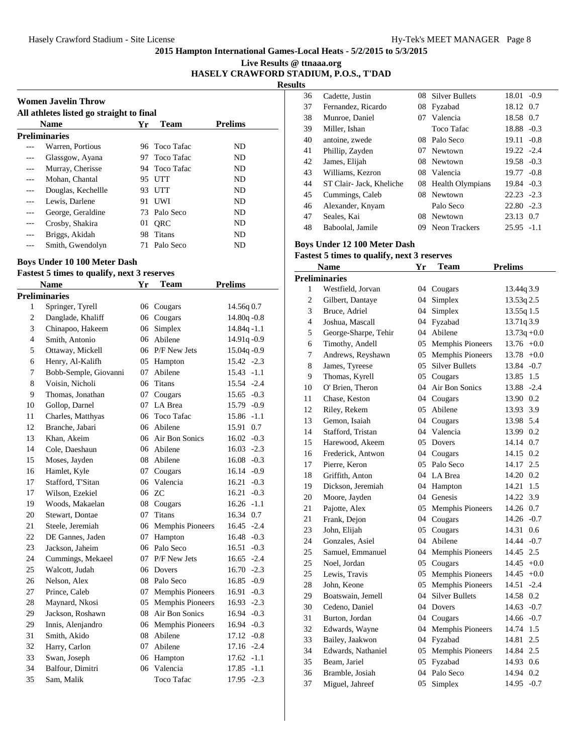**Live Results @ ttnaaa.org HASELY CRAWFORD STADIUM, P.O.S., T'DAD**

**Results**

|                                          | <b>Women Javelin Throw</b> |     |               |                |  |  |
|------------------------------------------|----------------------------|-----|---------------|----------------|--|--|
| All athletes listed go straight to final |                            |     |               |                |  |  |
|                                          | <b>Name</b>                | Yr  | Team          | <b>Prelims</b> |  |  |
|                                          | <b>Preliminaries</b>       |     |               |                |  |  |
|                                          | Warren, Portious           |     | 96 Toco Tafac | ND.            |  |  |
|                                          | Glassgow, Ayana            |     | 97 Toco Tafac | ND             |  |  |
| ---                                      | Murray, Cherisse           |     | 94 Toco Tafac | ND.            |  |  |
| ---                                      | Mohan, Chantal             | 95  | UTT           | ND.            |  |  |
|                                          | Douglas, Kechellle         | 93. | UTT           | ND.            |  |  |
|                                          | Lewis, Darlene             | 91. | UWI           | ND.            |  |  |
| ---                                      | George, Geraldine          |     | 73 Palo Seco  | ND.            |  |  |
| ---                                      | Crosby, Shakira            | 01  | <b>ORC</b>    | ND.            |  |  |
| ---                                      | Briggs, Akidah             | 98. | Titans        | ND             |  |  |
|                                          | Smith, Gwendolyn           | 71. | Palo Seco     | ND             |  |  |

#### **Boys Under 10 100 Meter Dash**

## **Fastest 5 times to qualify, next 3 reserves**

|                | <b>Name</b>           | Yr | <b>Team</b>             | <b>Prelims</b>  |
|----------------|-----------------------|----|-------------------------|-----------------|
|                | <b>Preliminaries</b>  |    |                         |                 |
| 1              | Springer, Tyrell      |    | 06 Cougars              | 14.56q 0.7      |
| $\overline{c}$ | Danglade, Khaliff     |    | 06 Cougars              | 14.80 $q - 0.8$ |
| 3              | Chinapoo, Hakeem      | 06 | Simplex                 | $14.84q - 1.1$  |
| $\overline{4}$ | Smith, Antonio        | 06 | Abilene                 | 14.91q-0.9      |
| 5              | Ottaway, Mickell      |    | 06 P/F New Jets         | 15.04q-0.9      |
| 6              | Henry, Al-Kalifh      | 05 | Hampton                 | $15.42 -2.3$    |
| 7              | Bobb-Semple, Giovanni | 07 | Abilene                 | $15.43 - 1.1$   |
| 8              | Voisin, Nicholi       | 06 | <b>Titans</b>           | 15.54 -2.4      |
| 9              | Thomas, Jonathan      | 07 | Cougars                 | $15.65 - 0.3$   |
| 10             | Gollop, Darnel        | 07 | LA Brea                 | 15.79 -0.9      |
| 11             | Charles, Matthyas     | 06 | <b>Toco Tafac</b>       | 15.86 -1.1      |
| 12             | Branche, Jabari       | 06 | Abilene                 | 0.7<br>15.91    |
| 13             | Khan, Akeim           |    | 06 Air Bon Sonics       | $16.02 -0.3$    |
| 14             | Cole, Daeshaun        | 06 | Abilene                 | $16.03 - 2.3$   |
| 15             | Moses, Jayden         | 08 | Abilene                 | $16.08 - 0.3$   |
| 16             | Hamlet, Kyle          | 07 | Cougars                 | 16.14 -0.9      |
| 17             | Stafford, T'Sitan     | 06 | Valencia                | 16.21<br>$-0.3$ |
| 17             | Wilson, Ezekiel       | 06 | <b>ZC</b>               | 16.21<br>$-0.3$ |
| 19             | Woods, Makaelan       |    | 08 Cougars              | $16.26 - 1.1$   |
| 20             | Stewart, Dontae       | 07 | <b>Titans</b>           | 16.34 0.7       |
| 21             | Steele, Jeremiah      | 06 | <b>Memphis Pioneers</b> | 16.45<br>$-2.4$ |
| 22             | DE Gannes, Jaden      | 07 | Hampton                 | 16.48<br>$-0.3$ |
| 23             | Jackson, Jaheim       | 06 | Palo Seco               | $-0.3$<br>16.51 |
| 24             | Cummings, Mekaeel     | 07 | P/F New Jets            | 16.65<br>$-2.4$ |
| 25             | Walcott, Judah        | 06 | Dovers                  | $-2.3$<br>16.70 |
| 26             | Nelson, Alex          | 08 | Palo Seco               | 16.85<br>$-0.9$ |
| 27             | Prince, Caleb         | 07 | <b>Memphis Pioneers</b> | 16.91<br>$-0.3$ |
| 28             | Maynard, Nkosi        | 05 | Memphis Pioneers        | 16.93<br>$-2.3$ |
| 29             | Jackson, Roshawn      | 08 | <b>Air Bon Sonics</b>   | 16.94<br>$-0.3$ |
| 29             | Innis, Alenjandro     | 06 | Memphis Pioneers        | 16.94<br>$-0.3$ |
| 31             | Smith, Akido          | 08 | Abilene                 | 17.12<br>$-0.8$ |
| 32             | Harry, Carlon         | 07 | Abilene                 | 17.16 -2.4      |
| 33             | Swan, Joseph          | 06 | Hampton                 | 17.62<br>$-1.1$ |
| 34             | Balfour, Dimitri      | 06 | Valencia                | 17.85<br>$-1.1$ |
| 35             | Sam, Malik            |    | <b>Toco Tafac</b>       | 17.95 -2.3      |
|                |                       |    |                         |                 |

| 36 | Cadette, Justin          |     | 08 Silver Bullets   | 18.01         | $-0.9$ |
|----|--------------------------|-----|---------------------|---------------|--------|
| 37 | Fernandez, Ricardo       | 08  | Fyzabad             | 18.12 0.7     |        |
| 38 | Munroe, Daniel           | 07  | Valencia            | 18.58         | 0.7    |
| 39 | Miller, Ishan            |     | Toco Tafac          | 18.88         | $-0.3$ |
| 40 | antoine, zwede           | 08  | Palo Seco           | 19.11         | $-0.8$ |
| 41 | Phillip, Zayden          | 07  | Newtown             | $19.22 - 2.4$ |        |
| 42 | James, Elijah            | 08  | Newtown             | 19.58 -0.3    |        |
| 43 | Williams, Kezron         |     | 08 Valencia         | 19.77         | $-0.8$ |
| 44 | ST Clair- Jack, Kheliche |     | 08 Health Olympians | 19.84 - 0.3   |        |
| 45 | Cummings, Caleb          | 08. | Newtown             | $22.23 - 2.3$ |        |
| 46 | Alexander, Knyam         |     | Palo Seco           | $22.80 - 2.3$ |        |
| 47 | Seales, Kai              | 08  | Newtown             | 23.13         | 0.7    |
| 48 | Baboolal, Jamile         | 09  | Neon Trackers       | $25.95 - 1.1$ |        |

## **Boys Under 12 100 Meter Dash**

|                | <b>Name</b>          | Yr            | Team                    | <b>Prelims</b>  |
|----------------|----------------------|---------------|-------------------------|-----------------|
|                | <b>Preliminaries</b> |               |                         |                 |
| 1              | Westfield, Jorvan    | 04            | Cougars                 | 13.44q 3.9      |
| $\overline{c}$ | Gilbert, Dantaye     | 04            | Simplex                 | 13.53q 2.5      |
| 3              | Bruce, Adriel        | 04            | Simplex                 | 13.55q 1.5      |
| 4              | Joshua, Mascall      | 04            | Fyzabad                 | 13.71q 3.9      |
| 5              | George-Sharpe, Tehir | 04            | Abilene                 | $13.73q + 0.0$  |
| 6              | Timothy, Andell      | 05            | <b>Memphis Pioneers</b> | $13.76 +0.0$    |
| 7              | Andrews, Reyshawn    | 05            | <b>Memphis Pioneers</b> | 13.78<br>$+0.0$ |
| 8              | James, Tyreese       | $0.5^{\circ}$ | <b>Silver Bullets</b>   | 13.84<br>$-0.7$ |
| 9              | Thomas, Kyrell       | 05            | Cougars                 | 1.5<br>13.85    |
| 10             | O' Brien, Theron     | 04            | Air Bon Sonics          | 13.88 -2.4      |
| 11             | Chase, Keston        |               | 04 Cougars              | 13.90 0.2       |
| 12             | Riley, Rekem         | 05            | Abilene                 | 3.9<br>13.93    |
| 13             | Gemon, Isaiah        | 04            | Cougars                 | 13.98 5.4       |
| 14             | Stafford, Tristan    | 04            | Valencia                | 13.99<br>0.2    |
| 15             | Harewood, Akeem      | 05            | <b>Dovers</b>           | 0.7<br>14.14    |
| 16             | Frederick, Antwon    | 04            | Cougars                 | 0.2<br>14.15    |
| 17             | Pierre, Keron        | 05            | Palo Seco               | 2.5<br>14.17    |
| 18             | Griffith, Anton      | 04            | LA Brea                 | 14.20<br>0.2    |
| 19             | Dickson, Jeremiah    | 04            | Hampton                 | 1.5<br>14.21    |
| 20             | Moore, Jayden        | 04            | Genesis                 | 14.22<br>3.9    |
| 21             | Pajotte, Alex        | 05            | <b>Memphis Pioneers</b> | 14.26<br>0.7    |
| 21             | Frank, Dejon         | 04            | Cougars                 | 14.26<br>$-0.7$ |
| 23             | John, Elijah         | 05            | Cougars                 | 14.31<br>0.6    |
| 24             | Gonzales, Asiel      | 04            | Abilene                 | 14.44 -0.7      |
| 25             | Samuel, Emmanuel     | 04            | Memphis Pioneers        | 2.5<br>14.45    |
| 25             | Noel, Jordan         | 05            | Cougars                 | 14.45<br>$+0.0$ |
| 25             | Lewis, Travis        | 05            | <b>Memphis Pioneers</b> | 14.45<br>$+0.0$ |
| 28             | John, Keone          | 05            | <b>Memphis Pioneers</b> | 14.51<br>$-2.4$ |
| 29             | Boatswain, Jemell    | 04            | <b>Silver Bullets</b>   | 14.58<br>0.2    |
| 30             | Cedeno, Daniel       | 04            | Dovers                  | $-0.7$<br>14.63 |
| 31             | Burton, Jordan       | 04            | Cougars                 | 14.66<br>$-0.7$ |
| 32             | Edwards, Wayne       | 04            | <b>Memphis Pioneers</b> | 14.74<br>1.5    |
| 33             | Bailey, Jaakwon      | 04            | Fyzabad                 | 2.5<br>14.81    |
| 34             | Edwards, Nathaniel   | 05            | <b>Memphis Pioneers</b> | 2.5<br>14.84    |
| 35             | Beam, Jariel         | 05            | Fyzabad                 | 14.93<br>0.6    |
| 36             | Bramble, Josiah      | 04            | Palo Seco               | 14.94<br>0.2    |
| 37             | Miguel, Jahreef      | 05            | Simplex                 | 14.95<br>$-0.7$ |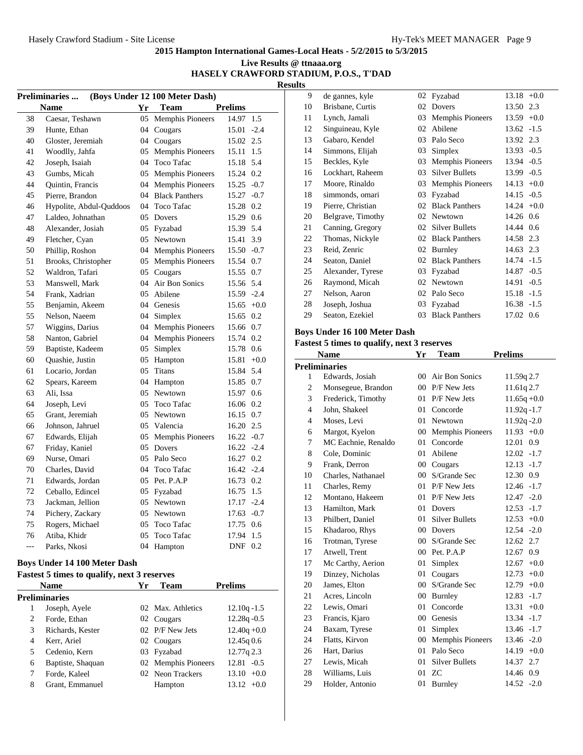## **Live Results @ ttnaaa.org HASELY CRAWFORD STADIUM, P.O.S., T'DAD**

**Results**

| (Boys Under 12 100 Meter Dash)<br>Preliminaries |                         |    |                     |                |        |
|-------------------------------------------------|-------------------------|----|---------------------|----------------|--------|
|                                                 | <b>Name</b>             | Yr | <b>Team</b>         | <b>Prelims</b> |        |
| 38                                              | Caesar, Teshawn         |    | 05 Memphis Pioneers | 14.97          | 1.5    |
| 39                                              | Hunte, Ethan            | 04 | Cougars             | 15.01          | $-2.4$ |
| 40                                              | Gloster, Jeremiah       |    | 04 Cougars          | 15.02 2.5      |        |
| 41                                              | Woodlly, Jahfa          |    | 05 Memphis Pioneers | 15.11          | 1.5    |
| 42                                              | Joseph, Isaiah          | 04 | <b>Toco Tafac</b>   | 15.18 5.4      |        |
| 43                                              | Gumbs, Micah            |    | 05 Memphis Pioneers | 15.24 0.2      |        |
| 44                                              | <b>Ouintin, Francis</b> | 04 | Memphis Pioneers    | 15.25          | $-0.7$ |
| 45                                              | Pierre, Brandon         |    | 04 Black Panthers   | 15.27 -0.7     |        |
| 46                                              | Hypolite, Abdul-Ouddoos |    | 04 Toco Tafac       | 15.28 0.2      |        |
| 47                                              | Laldeo, Johnathan       | 05 | Dovers              | 15.29 0.6      |        |
| 48                                              | Alexander, Josiah       | 05 | Fyzabad             | 15.39          | 5.4    |
| 49                                              | Fletcher, Cyan          |    | 05 Newtown          | 15.41          | 3.9    |
| 50                                              | Phillip, Roshon         |    | 04 Memphis Pioneers | 15.50 -0.7     |        |
| 51                                              | Brooks, Christopher     | 05 | Memphis Pioneers    | 15.54 0.7      |        |
| 52                                              | Waldron, Tafari         | 05 | Cougars             | 15.55 0.7      |        |
| 53                                              | Manswell, Mark          | 04 | Air Bon Sonics      | 15.56 5.4      |        |
| 54                                              | Frank, Xadrian          | 05 | Abilene             | 15.59 -2.4     |        |
| 55                                              | Benjamin, Akeem         |    | 04 Genesis          | $15.65 + 0.0$  |        |
| 55                                              | Nelson, Naeem           | 04 | Simplex             | 15.65          | 0.2    |
| 57                                              | Wiggins, Darius         |    | 04 Memphis Pioneers | 15.66 0.7      |        |
| 58                                              | Nanton, Gabriel         |    | 04 Memphis Pioneers | 15.74 0.2      |        |
| 59                                              | Baptiste, Kadeem        | 05 | Simplex             | 15.78 0.6      |        |
| 60                                              | Quashie, Justin         | 05 | Hampton             | 15.81          | $+0.0$ |
| 61                                              | Locario, Jordan         | 05 | <b>Titans</b>       | 15.84 5.4      |        |
| 62                                              | Spears, Kareem          |    | 04 Hampton          | 15.85 0.7      |        |
| 63                                              | Ali, Issa               | 05 | Newtown             | 15.97 0.6      |        |
| 64                                              | Joseph, Levi            | 05 | <b>Toco Tafac</b>   | 16.06 0.2      |        |
| 65                                              | Grant, Jeremiah         | 05 | Newtown             | 16.15 0.7      |        |
| 66                                              | Johnson, Jahruel        |    | 05 Valencia         | 16.20 2.5      |        |
| 67                                              | Edwards, Elijah         | 05 | Memphis Pioneers    | $16.22 - 0.7$  |        |
| 67                                              | Friday, Kaniel          | 05 | Dovers              | $16.22 - 2.4$  |        |
| 69                                              | Nurse, Omari            | 05 | Palo Seco           | 16.27 0.2      |        |
| 70                                              | Charles, David          | 04 | <b>Toco Tafac</b>   | $16.42 -2.4$   |        |
| 71                                              | Edwards, Jordan         | 05 | Pet. P.A.P          | 16.73 0.2      |        |
| 72                                              | Ceballo, Edincel        | 05 | Fyzabad             | 16.75          | 1.5    |
| 73                                              | Jackman, Jellion        | 05 | Newtown             | 17.17 -2.4     |        |
| 74                                              | Pichery, Zackary        |    | 05 Newtown          | $17.63 - 0.7$  |        |
| 75                                              | Rogers, Michael         | 05 | <b>Toco Tafac</b>   | 17.75 0.6      |        |
| 76                                              | Atiba, Khidr            | 05 | <b>Toco Tafac</b>   | 17.94          | 1.5    |
| ---                                             | Parks, Nkosi            | 04 | Hampton             | DNF 0.2        |        |

## **Boys Under 14 100 Meter Dash**

# **Fastest 5 times to qualify, next 3 reserves**

|   | <b>Name</b>       | Yr | Team                | <b>Prelims</b>  |
|---|-------------------|----|---------------------|-----------------|
|   | Preliminaries     |    |                     |                 |
|   | Joseph, Ayele     |    | 02 Max. Athletics   | $12.10q - 1.5$  |
| 2 | Forde, Ethan      |    | 02 Cougars          | $12.28q - 0.5$  |
| 3 | Richards, Kester  |    | 02 P/F New Jets     | $12.40q + 0.0$  |
| 4 | Kerr, Ariel       |    | 02 Cougars          | 12.45q0.6       |
| 5 | Cedenio, Kern     |    | 03 Fyzabad          | 12.77q 2.3      |
| 6 | Baptiste, Shaquan |    | 02 Memphis Pioneers | $12.81 - 0.5$   |
|   | Forde, Kaleel     |    | 02 Neon Trackers    | $+0.0$<br>13.10 |
| 8 | Grant, Emmanuel   |    | Hampton             | $13.12 +0.0$    |

| 9  | de gannes, kyle   | 02 | Fyzabad                 | $13.18 + 0.0$ |        |
|----|-------------------|----|-------------------------|---------------|--------|
| 10 | Brisbane, Curtis  | 02 | Dovers                  | 13.50 2.3     |        |
| 11 | Lynch, Jamali     | 03 | <b>Memphis Pioneers</b> | 13.59         | $+0.0$ |
| 12 | Singuineau, Kyle  | 02 | Abilene                 | $13.62 - 1.5$ |        |
| 13 | Gabaro, Kendel    | 03 | Palo Seco               | 13.92 2.3     |        |
| 14 | Simmons, Elijah   | 03 | Simplex                 | 13.93 -0.5    |        |
| 15 | Beckles, Kyle     | 03 | <b>Memphis Pioneers</b> | $13.94 - 0.5$ |        |
| 16 | Lockhart, Raheem  | 03 | <b>Silver Bullets</b>   | 13.99         | $-0.5$ |
| 17 | Moore, Rinaldo    | 03 | <b>Memphis Pioneers</b> | 14.13         | $+0.0$ |
| 18 | simmonds, omari   | 03 | Fyzabad                 | $14.15 - 0.5$ |        |
| 19 | Pierre, Christian | 02 | <b>Black Panthers</b>   | $14.24 +0.0$  |        |
| 20 | Belgrave, Timothy | 02 | Newtown                 | 14.26 0.6     |        |
| 21 | Canning, Gregory  | 02 | Silver Bullets          | 14.44 0.6     |        |
| 22 | Thomas, Nickyle   | 02 | <b>Black Panthers</b>   | 14.58 2.3     |        |
| 23 | Reid, Zenric      | 02 | Burnley                 | 14.63 2.3     |        |
| 24 | Seaton, Daniel    | 02 | <b>Black Panthers</b>   | 14.74 -1.5    |        |
| 25 | Alexander, Tyrese | 03 | Fyzabad                 | 14.87         | $-0.5$ |
| 26 | Raymond, Micah    | 02 | Newtown                 | 14.91         | $-0.5$ |
| 27 | Nelson, Aaron     | 02 | Palo Seco               | 15.18         | $-1.5$ |
| 28 | Joseph, Joshua    | 03 | Fyzabad                 | 16.38         | $-1.5$ |
| 29 | Seaton, Ezekiel   | 03 | <b>Black Panthers</b>   | 17.02 0.6     |        |

## **Boys Under 16 100 Meter Dash**

|                | <b>Name</b>          | Yr              | Team                    | <b>Prelims</b>  |
|----------------|----------------------|-----------------|-------------------------|-----------------|
|                | <b>Preliminaries</b> |                 |                         |                 |
| 1              | Edwards, Josiah      |                 | 00 Air Bon Sonics       | 11.59q 2.7      |
| $\overline{2}$ | Monsegeue, Brandon   | $00\,$          | P/F New Jets            | 11.61q 2.7      |
| 3              | Frederick, Timothy   | 01              | P/F New Jets            | $11.65q + 0.0$  |
| $\overline{4}$ | John, Shakeel        | 01              | Concorde                | $11.92q - 1.7$  |
| $\overline{4}$ | Moses, Levi          | 01              | Newtown                 | $11.92q - 2.0$  |
| 6              | Margot, Kyelon       | $00\,$          | <b>Memphis Pioneers</b> | $11.93 +0.0$    |
| 7              | MC Eachnie, Renaldo  | 01              | Concorde                | 12.01<br>0.9    |
| 8              | Cole, Dominic        | 01              | Abilene                 | $12.02 -1.7$    |
| 9              | Frank, Derron        | $00\,$          | Cougars                 | $12.13 - 1.7$   |
| 10             | Charles, Nathanael   | 00 <sup>°</sup> | S/Grande Sec            | 12.30 0.9       |
| 11             | Charles, Remy        | 01              | P/F New Jets            | $12.46 - 1.7$   |
| 12             | Montano, Hakeem      | 01              | P/F New Jets            | $12.47 - 2.0$   |
| 13             | Hamilton, Mark       | 01              | Dovers                  | $12.53 - 1.7$   |
| 13             | Philbert, Daniel     | 01              | <b>Silver Bullets</b>   | $12.53 +0.0$    |
| 15             | Khadaroo, Rhys       | $00\,$          | Dovers                  | $12.54 - 2.0$   |
| 16             | Trotman, Tyrese      | 00 <sup>°</sup> | S/Grande Sec            | 2.7<br>12.62    |
| 17             | Atwell. Trent        | 00 <sup>°</sup> | Pet. P.A.P              | 12.67<br>0.9    |
| 17             | Mc Carthy, Aerion    | 01              | Simplex                 | $12.67 + 0.0$   |
| 19             | Dinzey, Nicholas     | 01              | Cougars                 | $12.73 +0.0$    |
| 20             | James, Elton         | $00\,$          | S/Grande Sec            | $12.79 + 0.0$   |
| 21             | Acres, Lincoln       | $00\,$          | Burnley                 | 12.83<br>$-1.7$ |
| 22             | Lewis, Omari         | 01              | Concorde                | 13.31<br>$+0.0$ |
| 23             | Francis, Kjaro       | 00 <sup>°</sup> | Genesis                 | 13.34 -1.7      |
| 24             | Baxam, Tyrese        | 01              | Simplex                 | 13.46 -1.7      |
| 24             | Flatts, Kirvon       | $00\,$          | <b>Memphis Pioneers</b> | 13.46 -2.0      |
| 26             | Hart, Darius         | 01              | Palo Seco               | $14.19 + 0.0$   |
| 27             | Lewis, Micah         | 01              | <b>Silver Bullets</b>   | 14.37 2.7       |
| 28             | Williams, Luis       | 01              | <b>ZC</b>               | 14.46 0.9       |
| 29             | Holder, Antonio      | 01              | Burnley                 | $14.52 - 2.0$   |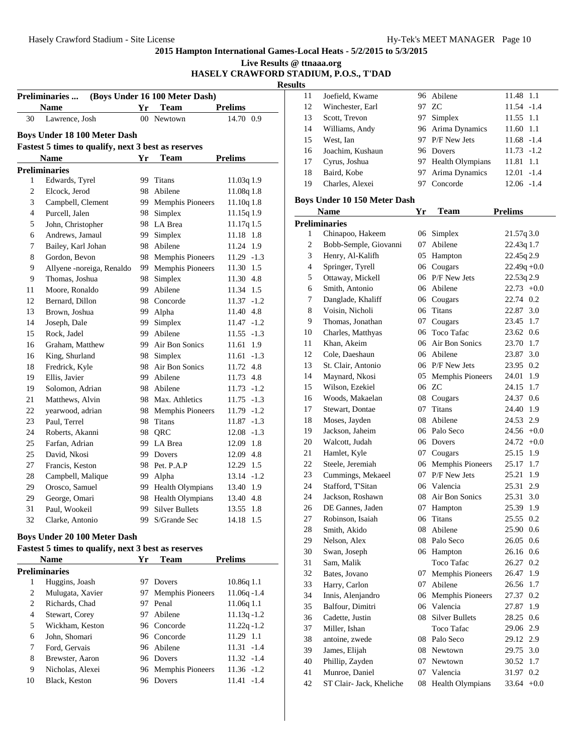## **2015 Hampton International Games-Local Heats - 5/2/2015 to 5/3/2015 Live Results @ ttnaaa.org**

**HASELY CRAWFORD STADIUM, P.O.S., T'DAD**

|              |                                                     |    |                                |                | <b>Results</b>                            |
|--------------|-----------------------------------------------------|----|--------------------------------|----------------|-------------------------------------------|
|              | <b>Preliminaries</b>                                |    | (Boys Under 16 100 Meter Dash) |                | 1                                         |
|              | <b>Name</b>                                         | Yr | Team                           | <b>Prelims</b> | 1                                         |
| 30           | Lawrence, Josh                                      |    | 00 Newtown                     | 14.70 0.9      | $\mathbf{1}$                              |
|              | <b>Boys Under 18 100 Meter Dash</b>                 |    |                                |                | 1                                         |
|              | Fastest 5 times to qualify, next 3 best as reserves |    |                                |                | 1                                         |
|              | <b>Name</b>                                         | Yr | Team                           | <b>Prelims</b> | 1<br>1                                    |
|              | <b>Preliminaries</b>                                |    |                                |                | 1                                         |
| $\mathbf{1}$ | Edwards, Tyrel                                      |    | 99 Titans                      | 11.03q 1.9     | 1                                         |
| 2            | Elcock, Jerod                                       |    | 98 Abilene                     | 11.08q 1.8     |                                           |
| 3            | Campbell, Clement                                   |    | 99 Memphis Pioneers            | $11.10q$ 1.8   | Boy                                       |
| 4            | Purcell, Jalen                                      |    | 98 Simplex                     | 11.15q 1.9     |                                           |
| 5            | John, Christopher                                   |    | 98 LA Brea                     | $11.17q$ 1.5   | Pre                                       |
| 6            | Andrews, Jamaul                                     |    | 99 Simplex                     | 11.18 1.8      |                                           |
| 7            | Bailey, Karl Johan                                  |    | 98 Abilene                     | 11.24 1.9      |                                           |
| 8            | Gordon, Bevon                                       |    | 98 Memphis Pioneers            | $11.29 - 1.3$  |                                           |
| 9            | Allyene -noreiga, Renaldo                           |    | 99 Memphis Pioneers            | 11.30 1.5      |                                           |
| 9            | Thomas, Joshua                                      |    | 98 Simplex                     | 11.30 4.8      |                                           |
| 11           | Moore, Ronaldo                                      |    | 99 Abilene                     | 11.34 1.5      |                                           |
| 12           | Bernard, Dillon                                     |    | 98 Concorde                    | $11.37 - 1.2$  |                                           |
| 13           | Brown, Joshua                                       |    | 99 Alpha                       | 11.40 4.8      |                                           |
| 14           | Joseph, Dale                                        |    | 99 Simplex                     | $11.47 - 1.2$  |                                           |
| 15           | Rock, Jadel                                         |    | 99 Abilene                     | $11.55 - 1.3$  | 1                                         |
| 16           | Graham, Matthew                                     |    | 99 Air Bon Sonics              | 11.61 1.9      | 1                                         |
| 16           | King, Shurland                                      |    | 98 Simplex                     | $11.61 - 1.3$  | 1                                         |
| 18           | Fredrick, Kyle                                      |    | 98 Air Bon Sonics              | 11.72 4.8      | 1                                         |
| 19           | Ellis, Javier                                       |    | 99 Abilene                     | 11.73 4.8      | 1                                         |
| 19           | Solomon, Adrian                                     |    | 98 Abilene                     | $11.73 - 1.2$  | 1                                         |
| 21           | Matthews, Alvin                                     |    | 98 Max. Athletics              | $11.75 - 1.3$  | 1                                         |
| 22           | yearwood, adrian                                    |    | 98 Memphis Pioneers            | 11.79 -1.2     | 1                                         |
| 23           | Paul, Terrel                                        |    | 98 Titans                      | $11.87 - 1.3$  | $\mathbf{1}$                              |
| 24           | Roberts, Akanni                                     |    | 98 QRC                         | $12.08 - 1.3$  | 1                                         |
| 25           | Farfan, Adrian                                      |    | 99 LA Brea                     | 12.09 1.8      | $\overline{c}$                            |
| 25           | David. Nkosi                                        |    | 99 Dovers                      | 12.09 4.8      | $\overline{c}$                            |
| 27           | Francis, Keston                                     |    | 98 Pet. P.A.P                  | 12.29 1.5      | $\overline{c}$<br>$\overline{2}$          |
| 28           | Campbell, Malique                                   |    | 99 Alpha                       | $13.14 - 1.2$  |                                           |
| 29           | Orosco, Samuel                                      |    | 99 Health Olympians            | 13.40 1.9      | $\overline{2}$                            |
| 29           | George, Omari                                       |    | 98 Health Olympians            | 13.40 4.8      | $\overline{\mathbf{c}}$<br>$\overline{c}$ |
| 31           | Paul. Wookeil                                       |    | 99 Silver Bullets              | 13.55 1.8      | $\overline{c}$                            |
| 32           | Clarke, Antonio                                     | 99 | S/Grande Sec                   | 14.18 1.5      | $\overline{2}$                            |
|              | <b>Boys Under 20 100 Meter Dash</b>                 |    |                                |                | ን                                         |

## **Fastest 5 times to qualify, next 3 best as reserves**

| <b>Name</b> |                  | Yr  | Team                    | <b>Prelims</b> |
|-------------|------------------|-----|-------------------------|----------------|
|             | Preliminaries    |     |                         |                |
| 1           | Huggins, Joash   | 97  | Dovers                  | 10.86q1.1      |
| 2           | Mulugata, Xavier | 97. | <b>Memphis Pioneers</b> | $11.06q - 1.4$ |
| 2           | Richards, Chad   | 97  | Penal                   | 11.06q 1.1     |
| 4           | Stewart, Corey   |     | 97 Abilene              | $11.13q - 1.2$ |
| 5           | Wickham, Keston  |     | 96 Concorde             | $11.22q - 1.2$ |
| 6           | John, Shomari    |     | 96 Concorde             | 11.29 1.1      |
| 7           | Ford. Gervais    |     | 96 Abilene              | $11.31 - 1.4$  |
| 8           | Brewster, Aaron  |     | 96 Dovers               | $11.32 - 1.4$  |
| 9           | Nicholas, Alexei |     | 96 Memphis Pioneers     | $11.36 - 1.2$  |
| 10          | Black, Keston    | 96  | Dovers                  | 11.41 -1.4     |

| 11 | Joefield, Kwame  | 96 Abilene          | 11.48 1.1     |
|----|------------------|---------------------|---------------|
| 12 | Winchester, Earl | 97 ZC               | $11.54 - 1.4$ |
| 13 | Scott, Trevon    | 97 Simplex          | 11.55 1.1     |
| 14 | Williams, Andy   | 96 Arima Dynamics   | 11.60 1.1     |
| 15 | West. Ian        | 97 P/F New Jets     | $11.68 - 1.4$ |
| 16 | Joachim, Kushaun | 96 Dovers           | $11.73 - 1.2$ |
| 17 | Cyrus, Joshua    | 97 Health Olympians | 11.81 1.1     |
| 18 | Baird, Kobe      | 97 Arima Dynamics   | $12.01 - 1.4$ |
| 19 | Charles, Alexei  | Concorde            | 12.06 -1.4    |

## **Boys Under 10 150 Meter Dash**

| <b>Name</b>    |                          | Yr | Team                    | <b>Prelims</b>  |
|----------------|--------------------------|----|-------------------------|-----------------|
|                | <b>Preliminaries</b>     |    |                         |                 |
| 1              | Chinapoo, Hakeem         | 06 | Simplex                 | 21.57q 3.0      |
| $\overline{c}$ | Bobb-Semple, Giovanni    | 07 | Abilene                 | 22.43q 1.7      |
| 3              | Henry, Al-Kalifh         | 05 | Hampton                 | 22.45q 2.9      |
| 4              | Springer, Tyrell         |    | 06 Cougars              | $22.49q +0.0$   |
| 5              | Ottaway, Mickell         | 06 | P/F New Jets            | 22.53q 2.9      |
| 6              | Smith, Antonio           | 06 | Abilene                 | $22.73 +0.0$    |
| 7              | Danglade, Khaliff        |    | 06 Cougars              | 22.74 0.2       |
| 8              | Voisin, Nicholi          | 06 | <b>Titans</b>           | 3.0<br>22.87    |
| 9              | Thomas, Jonathan         | 07 | Cougars                 | 23.45<br>1.7    |
| 10             | Charles, Matthyas        | 06 | <b>Toco Tafac</b>       | 23.62<br>0.6    |
| 11             | Khan, Akeim              | 06 | Air Bon Sonics          | 23.70<br>1.7    |
| 12             | Cole, Daeshaun           |    | 06 Abilene              | 3.0<br>23.87    |
| 13             | St. Clair, Antonio       |    | 06 P/F New Jets         | 23.95<br>0.2    |
| 14             | Maynard, Nkosi           | 05 | <b>Memphis Pioneers</b> | 24.01<br>1.9    |
| 15             | Wilson, Ezekiel          |    | 06 ZC                   | 24.15<br>1.7    |
| 16             | Woods, Makaelan          |    | 08 Cougars              | 24.37<br>0.6    |
| 17             | Stewart, Dontae          | 07 | Titans                  | 24.40 1.9       |
| 18             | Moses, Jayden            | 08 | Abilene                 | 24.53 2.9       |
| 19             | Jackson, Jaheim          |    | 06 Palo Seco            | $24.56 +0.0$    |
| 20             | Walcott, Judah           | 06 | Dovers                  | $24.72 +0.0$    |
| 21             | Hamlet, Kyle             |    | 07 Cougars              | 25.15<br>1.9    |
| 22             | Steele, Jeremiah         | 06 | <b>Memphis Pioneers</b> | 25.17<br>1.7    |
| 23             | Cummings, Mekaeel        | 07 | P/F New Jets            | 25.21<br>1.9    |
| 24             | Stafford, T'Sitan        | 06 | Valencia                | 2.9<br>25.31    |
| 24             | Jackson, Roshawn         | 08 | Air Bon Sonics          | 3.0<br>25.31    |
| 26             | DE Gannes, Jaden         | 07 | Hampton                 | 25.39<br>1.9    |
| 27             | Robinson, Isaiah         | 06 | Titans                  | 25.55<br>0.2    |
| 28             | Smith, Akido             | 08 | Abilene                 | 25.90 0.6       |
| 29             | Nelson, Alex             | 08 | Palo Seco               | 26.05<br>0.6    |
| 30             | Swan, Joseph             | 06 | Hampton                 | 26.16<br>0.6    |
| 31             | Sam, Malik               |    | <b>Toco Tafac</b>       | 26.27<br>0.2    |
| 32             | Bates, Jovano            | 07 | <b>Memphis Pioneers</b> | 26.47<br>1.9    |
| 33             | Harry, Carlon            | 07 | Abilene                 | 26.56<br>1.7    |
| 34             | Innis, Alenjandro        | 06 | <b>Memphis Pioneers</b> | 0.2<br>27.37    |
| 35             | Balfour, Dimitri         | 06 | Valencia                | 27.87<br>1.9    |
| 36             | Cadette, Justin          | 08 | <b>Silver Bullets</b>   | 28.25<br>0.6    |
| 37             | Miller, Ishan            |    | Toco Tafac              | 29.06 2.9       |
| 38             | antoine, zwede           | 08 | Palo Seco               | 2.9<br>29.12    |
| 39             | James, Elijah            | 08 | Newtown                 | 29.75 3.0       |
| 40             | Phillip, Zayden          | 07 | Newtown                 | 30.52<br>1.7    |
| 41             | Munroe, Daniel           | 07 | Valencia                | 31.97<br>0.2    |
| 42             | ST Clair- Jack, Kheliche | 08 | <b>Health Olympians</b> | 33.64<br>$+0.0$ |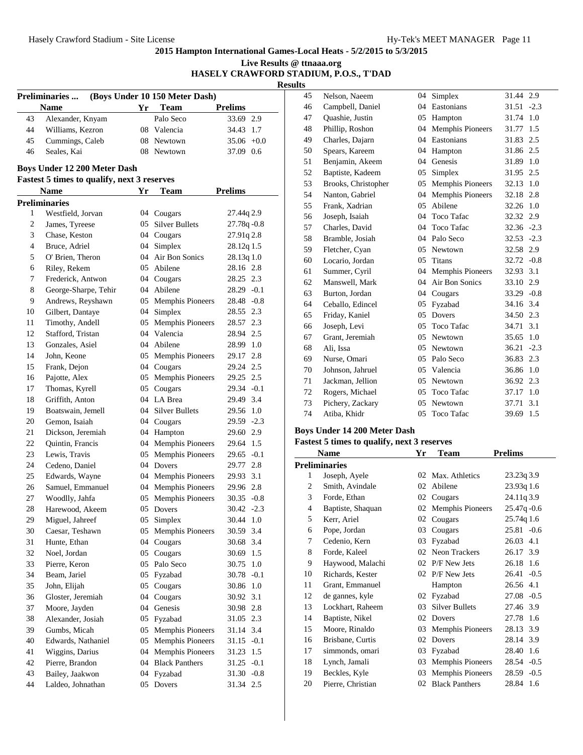**2015 Hampton International Games-Local Heats - 5/2/2015 to 5/3/2015 Live Results @ ttnaaa.org**

|                |                                                    |    |                                |                | <b>Results</b> | HASELY CRAWFORD STADIUM, P.O.S., T'DAD |
|----------------|----------------------------------------------------|----|--------------------------------|----------------|----------------|----------------------------------------|
|                | Preliminaries                                      |    | (Boys Under 10 150 Meter Dash) |                | 45             | Nelson, Naeem                          |
|                | <b>Name</b>                                        | Yr | <b>Team</b>                    | <b>Prelims</b> | 46             | Campbell, Daniel                       |
| 43             | Alexander, Knyam                                   |    | Palo Seco                      | 33.69 2.9      | 47             | Quashie, Justin                        |
| 44             | Williams, Kezron                                   |    | 08 Valencia                    | 34.43 1.7      | 48             | Phillip, Roshon                        |
| 45             | Cummings, Caleb                                    |    | 08 Newtown                     | $35.06 + 0.0$  | 49             | Charles, Dajarn                        |
| 46             | Seales, Kai                                        |    | 08 Newtown                     | 37.09 0.6      | 50             | Spears, Kareem                         |
|                |                                                    |    |                                |                | 51             | Benjamin, Akeem                        |
|                | <b>Boys Under 12 200 Meter Dash</b>                |    |                                |                | 52             | Baptiste, Kadeem                       |
|                | <b>Fastest 5 times to qualify, next 3 reserves</b> |    |                                |                | 53             | Brooks, Christopher                    |
|                | <b>Name</b>                                        | Yr | <b>Team</b>                    | <b>Prelims</b> | 54             | Nanton, Gabriel                        |
|                | <b>Preliminaries</b>                               |    |                                |                | 55             | Frank, Xadrian                         |
| 1              | Westfield, Jorvan                                  |    | 04 Cougars                     | 27.44q 2.9     | 56             | Joseph, Isaiah                         |
| $\overline{c}$ | James, Tyreese                                     | 05 | <b>Silver Bullets</b>          | $27.78q - 0.8$ | 57             | Charles, David                         |
| 3              | Chase, Keston                                      |    | 04 Cougars                     | 27.91q 2.8     | 58             | Bramble, Josiah                        |
| $\overline{4}$ | Bruce, Adriel                                      |    | 04 Simplex                     | 28.12q 1.5     | 59             | Fletcher, Cyan                         |
| 5              | O' Brien, Theron                                   |    | 04 Air Bon Sonics              | 28.13q 1.0     | 60             | Locario, Jordan                        |
| $\sqrt{6}$     | Riley, Rekem                                       | 05 | Abilene                        | 28.16 2.8      | 61             | Summer, Cyril                          |
| 7              | Frederick, Antwon                                  |    | 04 Cougars                     | 28.25 2.3      | 62             | Manswell, Mark                         |
| $\,8\,$        | George-Sharpe, Tehir                               |    | 04 Abilene                     | $28.29 - 0.1$  | 63             | Burton, Jordan                         |
| 9              | Andrews, Reyshawn                                  |    | 05 Memphis Pioneers            | 28.48 - 0.8    | 64             | Ceballo, Edincel                       |
| 10             | Gilbert, Dantaye                                   |    | 04 Simplex                     | 28.55 2.3      | 65             | Friday, Kaniel                         |
| 11             | Timothy, Andell                                    |    | 05 Memphis Pioneers            | 28.57 2.3      | 66             | Joseph, Levi                           |
| 12             | Stafford, Tristan                                  |    | 04 Valencia                    | 28.94 2.5      | 67             | Grant, Jeremiah                        |
| 13             | Gonzales, Asiel                                    |    | 04 Abilene                     | 28.99 1.0      | 68             | Ali, Issa                              |
| 14             | John, Keone                                        |    | 05 Memphis Pioneers            | 29.17 2.8      | 69             | Nurse, Omari                           |
| 15             | Frank, Dejon                                       |    | 04 Cougars                     | 29.24 2.5      | 70             | Johnson, Jahruel                       |
| 16             | Pajotte, Alex                                      |    | 05 Memphis Pioneers            | 29.25 2.5      | 71             | Jackman, Jellion                       |
| 17             | Thomas, Kyrell                                     |    | 05 Cougars                     | 29.34 - 0.1    | $72\,$         | Rogers, Michael                        |
| 18             | Griffith, Anton                                    |    | 04 LA Brea                     | 29.49 3.4      | 73             | Pichery, Zackary                       |
| 19             | Boatswain, Jemell                                  |    | 04 Silver Bullets              | 29.56 1.0      | 74             | Atiba, Khidr                           |
| 20             | Gemon, Isaiah                                      |    | 04 Cougars                     | 29.59 -2.3     |                |                                        |
| 21             | Dickson, Jeremiah                                  |    | 04 Hampton                     | 29.60 2.9      |                | <b>Boys Under 14 200 Meter</b>         |
| 22             | Quintin, Francis                                   |    | 04 Memphis Pioneers            | 29.64 1.5      |                | <b>Fastest 5 times to qualify,</b>     |
| 23             | Lewis, Travis                                      |    | 05 Memphis Pioneers            | $29.65 - 0.1$  |                | <b>Name</b>                            |
| 24             | Cedeno, Daniel                                     |    | 04 Dovers                      | 29.77 2.8      |                | <b>Preliminaries</b>                   |
| 25             | Edwards, Wayne                                     |    | 04 Memphis Pioneers            | 29.93 3.1      | 1              | Joseph, Ayele                          |
| 26             | Samuel, Emmanuel                                   |    | 04 Memphis Pioneers            | 29.96 2.8      | 2              | Smith, Avindale                        |
| 27             | Woodlly, Jahfa                                     | 05 | Memphis Pioneers               | 30.35 -0.8     | 3              | Forde, Ethan                           |
| 28             | Harewood, Akeem                                    |    | 05 Dovers                      | $30.42 -2.3$   | $\overline{4}$ | Baptiste, Shaquan                      |
| 29             | Miguel, Jahreef                                    |    | 05 Simplex                     | 30.44 1.0      | $\mathfrak s$  | Kerr, Ariel                            |
| 30             | Caesar, Teshawn                                    | 05 | <b>Memphis Pioneers</b>        | 30.59 3.4      | 6              | Pope, Jordan                           |
| 31             | Hunte, Ethan                                       |    | 04 Cougars                     | 30.68 3.4      | 7              | Cedenio, Kern                          |
| 32             | Noel, Jordan                                       |    | 05 Cougars                     | 30.69 1.5      | $\,$ 8 $\,$    | Forde, Kaleel                          |
| 33             | Pierre, Keron                                      |    | 05 Palo Seco                   | 30.75 1.0      | 9              | Haywood, Malachi                       |
| 34             | Beam, Jariel                                       |    | 05 Fyzabad                     | 30.78 -0.1     | 10             | Richards, Kester                       |
| 35             | John, Elijah                                       | 05 | Cougars                        | 30.86 1.0      | 11             | Grant, Emmanuel                        |
| 36             | Gloster, Jeremiah                                  | 04 | Cougars                        | 30.92 3.1      | 12             | de gannes, kyle                        |
| 37             | Moore, Jayden                                      |    | 04 Genesis                     | 30.98 2.8      | 13             | Lockhart, Raheem                       |
| 38             | Alexander, Josiah                                  |    | 05 Fyzabad                     | 31.05 2.3      | 14             | Baptiste, Nikel                        |
| 39             | Gumbs, Micah                                       |    | 05 Memphis Pioneers            | 31.14 3.4      | 15             | Moore, Rinaldo                         |
| 40             | Edwards, Nathaniel                                 |    | 05 Memphis Pioneers            | $31.15 - 0.1$  | 16             | Brisbane, Curtis                       |
| 41             | Wiggins, Darius                                    |    | 04 Memphis Pioneers            | 31.23 1.5      | 17             | simmonds, omari                        |
| 42             | Pierre, Brandon                                    |    | 04 Black Panthers              | $31.25 -0.1$   | 18             | Lynch, Jamali                          |
| 43             | Bailey, Jaakwon                                    |    | 04 Fyzabad                     | $31.30 -0.8$   | 19             | Beckles, Kyle                          |
| 44             | Laldeo, Johnathan                                  |    | 05 Dovers                      | 31.34 2.5      | $20\,$         | Pierre, Christian                      |

| 45 | Nelson, Naeem       | 04 | Simplex                 | 31.44         | 2.9    |
|----|---------------------|----|-------------------------|---------------|--------|
| 46 | Campbell, Daniel    | 04 | Eastonians              | 31.51         | $-2.3$ |
| 47 | Quashie, Justin     | 05 | Hampton                 | 31.74         | 1.0    |
| 48 | Phillip, Roshon     | 04 | <b>Memphis Pioneers</b> | 31.77         | 1.5    |
| 49 | Charles, Dajarn     | 04 | Eastonians              | 31.83         | 2.5    |
| 50 | Spears, Kareem      | 04 | Hampton                 | 31.86         | 2.5    |
| 51 | Benjamin, Akeem     | 04 | Genesis                 | 31.89         | 1.0    |
| 52 | Baptiste, Kadeem    | 05 | Simplex                 | 31.95         | 2.5    |
| 53 | Brooks, Christopher | 05 | <b>Memphis Pioneers</b> | 32.13         | 1.0    |
| 54 | Nanton, Gabriel     | 04 | <b>Memphis Pioneers</b> | 32.18         | 2.8    |
| 55 | Frank, Xadrian      | 05 | Abilene                 | 32.26         | 1.0    |
| 56 | Joseph, Isaiah      | 04 | <b>Toco Tafac</b>       | 32.32         | 2.9    |
| 57 | Charles, David      | 04 | <b>Toco Tafac</b>       | $32.36 - 2.3$ |        |
| 58 | Bramble, Josiah     | 04 | Palo Seco               | 32.53         | $-2.3$ |
| 59 | Fletcher, Cyan      | 05 | Newtown                 | 32.58         | 2.9    |
| 60 | Locario, Jordan     | 05 | Titans                  | 32.72         | $-0.8$ |
| 61 | Summer, Cyril       | 04 | <b>Memphis Pioneers</b> | 32.93         | 3.1    |
| 62 | Manswell, Mark      | 04 | Air Bon Sonics          | 33.10         | 2.9    |
| 63 | Burton, Jordan      | 04 | Cougars                 | $33.29 -0.8$  |        |
| 64 | Ceballo, Edincel    | 05 | Fyzabad                 | 34.16         | 3.4    |
| 65 | Friday, Kaniel      | 05 | Dovers                  | 34.50         | 2.3    |
| 66 | Joseph, Levi        | 05 | <b>Toco Tafac</b>       | 34.71         | 3.1    |
| 67 | Grant, Jeremiah     | 05 | Newtown                 | 35.65         | 1.0    |
| 68 | Ali, Issa           | 05 | Newtown                 | 36.21         | $-2.3$ |
| 69 | Nurse, Omari        | 05 | Palo Seco               | 36.83         | 2.3    |
| 70 | Johnson, Jahruel    | 05 | Valencia                | 36.86         | 1.0    |
| 71 | Jackman, Jellion    | 05 | Newtown                 | 36.92         | 2.3    |
| 72 | Rogers, Michael     | 05 | <b>Toco Tafac</b>       | 37.17         | 1.0    |
| 73 | Pichery, Zackary    | 05 | Newtown                 | 37.71         | 3.1    |
| 74 | Atiba, Khidr        | 05 | Toco Tafac              | 39.69         | 1.5    |

## **Boys Under 14 200 Meter Dash**

| Name |                      | Yr | Team                    | <b>Prelims</b>  |  |
|------|----------------------|----|-------------------------|-----------------|--|
|      | <b>Preliminaries</b> |    |                         |                 |  |
| 1    | Joseph, Ayele        | 02 | Max. Athletics          | 23.23q 3.9      |  |
| 2    | Smith, Avindale      | 02 | Abilene                 | 23.93q 1.6      |  |
| 3    | Forde, Ethan         | 02 | Cougars                 | 24.11q 3.9      |  |
| 4    | Baptiste, Shaquan    | 02 | <b>Memphis Pioneers</b> | $25.47q -0.6$   |  |
| 5    | Kerr, Ariel          | 02 | Cougars                 | 25.74q 1.6      |  |
| 6    | Pope, Jordan         | 03 | Cougars                 | $25.81 - 0.6$   |  |
| 7    | Cedenio, Kern        | 03 | Fyzabad                 | 26.03 4.1       |  |
| 8    | Forde, Kaleel        | 02 | Neon Trackers           | 26.17 3.9       |  |
| 9    | Haywood, Malachi     | 02 | P/F New Jets            | 26.18 1.6       |  |
| 10   | Richards, Kester     | 02 | P/F New Jets            | 26.41<br>$-0.5$ |  |
| 11   | Grant, Emmanuel      |    | Hampton                 | 26.56 4.1       |  |
| 12   | de gannes, kyle      | 02 | Fyzabad                 | $27.08 - 0.5$   |  |
| 13   | Lockhart, Raheem     | 03 | <b>Silver Bullets</b>   | 27.46 3.9       |  |
| 14   | Baptiste, Nikel      | 02 | Dovers                  | 27.78<br>1.6    |  |
| 15   | Moore, Rinaldo       | 03 | <b>Memphis Pioneers</b> | 28.13<br>3.9    |  |
| 16   | Brisbane, Curtis     | 02 | Dovers                  | 28.14<br>3.9    |  |
| 17   | simmonds, omari      | 03 | Fyzabad                 | 28.40<br>1.6    |  |
| 18   | Lynch, Jamali        | 03 | <b>Memphis Pioneers</b> | 28.54 - 0.5     |  |
| 19   | Beckles, Kyle        | 03 | <b>Memphis Pioneers</b> | 28.59<br>$-0.5$ |  |
| 20   | Pierre, Christian    | 02 | <b>Black Panthers</b>   | 28.84 1.6       |  |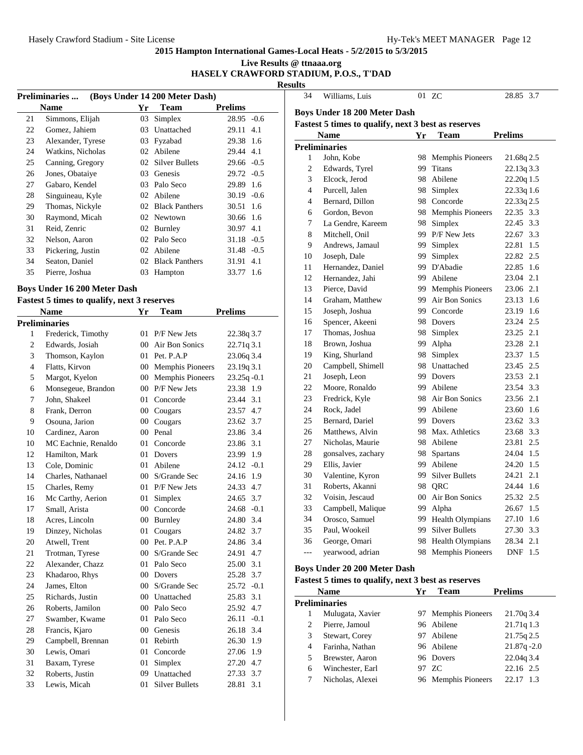**Live Results @ ttnaaa.org**

## **HASELY CRAWFORD STADIUM, P.O.S., T'DAD**

**Results**

|    | (Boys Under 14 200 Meter Dash)<br><b>Preliminaries </b> |     |                       |                |     |  |  |
|----|---------------------------------------------------------|-----|-----------------------|----------------|-----|--|--|
|    | <b>Name</b>                                             | Yr  | <b>Team</b>           | <b>Prelims</b> |     |  |  |
| 21 | Simmons, Elijah                                         | 03  | Simplex               | $28.95 -0.6$   |     |  |  |
| 22 | Gomez, Jahiem                                           | 03  | Unattached            | 29.11          | 4.1 |  |  |
| 23 | Alexander, Tyrese                                       | 03  | Fyzabad               | 29.38 1.6      |     |  |  |
| 24 | Watkins, Nicholas                                       | 02  | Abilene               | 29.44 4.1      |     |  |  |
| 25 | Canning, Gregory                                        | 02  | <b>Silver Bullets</b> | $29.66 - 0.5$  |     |  |  |
| 26 | Jones, Obataiye                                         | 03  | <b>Genesis</b>        | $29.72 - 0.5$  |     |  |  |
| 27 | Gabaro, Kendel                                          | 03  | Palo Seco             | 29.89 1.6      |     |  |  |
| 28 | Singuineau, Kyle                                        | 02  | Abilene               | $30.19 - 0.6$  |     |  |  |
| 29 | Thomas, Nickyle                                         | 02. | <b>Black Panthers</b> | 30.51 1.6      |     |  |  |
| 30 | Raymond, Micah                                          | 02. | Newtown               | 30.66 1.6      |     |  |  |
| 31 | Reid, Zenric                                            | 02  | Burnley               | 30.97 4.1      |     |  |  |
| 32 | Nelson, Aaron                                           | 02  | Palo Seco             | $31.18 - 0.5$  |     |  |  |
| 33 | Pickering, Justin                                       | 02  | Abilene               | 31.48 - 0.5    |     |  |  |
| 34 | Seaton, Daniel                                          | 02  | <b>Black Panthers</b> | 31.91          | 4.1 |  |  |
| 35 | Pierre, Joshua                                          | 03  | Hampton               | 33.77 1.6      |     |  |  |
|    |                                                         |     |                       |                |     |  |  |

## **Boys Under 16 200 Meter Dash**

#### **Fastest 5 times to qualify, next 3 reserves**

| <b>Name</b>    |                      | Yr              | Team                  | <b>Prelims</b> |
|----------------|----------------------|-----------------|-----------------------|----------------|
|                | <b>Preliminaries</b> |                 |                       |                |
| 1              | Frederick, Timothy   | 01              | P/F New Jets          | 22.38q 3.7     |
| $\overline{c}$ | Edwards, Josiah      | 0 <sup>0</sup>  | Air Bon Sonics        | 22.71q 3.1     |
| 3              | Thomson, Kaylon      | 01              | Pet. P.A.P            | 23.06q 3.4     |
| $\overline{4}$ | Flatts, Kirvon       |                 | 00 Memphis Pioneers   | 23.19q 3.1     |
| 5              | Margot, Kyelon       |                 | 00 Memphis Pioneers   | 23.25q-0.1     |
| 6              | Monsegeue, Brandon   | 00 <sup>1</sup> | P/F New Jets          | 23.38 1.9      |
| 7              | John. Shakeel        | 01              | Concorde              | 23.44<br>3.1   |
| 8              | Frank, Derron        |                 | 00 Cougars            | 23.57 4.7      |
| 9              | Osouna, Jarion       | $00\,$          | Cougars               | 23.62 3.7      |
| 10             | Cardinez, Aaron      | $00\,$          | Penal                 | 23.86 3.4      |
| 10             | MC Eachnie, Renaldo  | 01              | Concorde              | 23.86 3.1      |
| 12             | Hamilton, Mark       | 01              | <b>Dovers</b>         | 23.99 1.9      |
| 13             | Cole. Dominic        | 01              | Abilene               | $24.12 -0.1$   |
| 14             | Charles, Nathanael   |                 | 00 S/Grande Sec       | 24.16 1.9      |
| 15             | Charles, Remy        |                 | 01 P/F New Jets       | 24.33 4.7      |
| 16             | Mc Carthy, Aerion    | 01              | Simplex               | 24.65 3.7      |
| 17             | Small, Arista        |                 | 00 Concorde           | $24.68 - 0.1$  |
| 18             | Acres, Lincoln       |                 | 00 Burnley            | 24.80 3.4      |
| 19             | Dinzey, Nicholas     |                 | 01 Cougars            | 24.82 3.7      |
| 20             | Atwell, Trent        |                 | 00 Pet. P.A.P         | 24.86 3.4      |
| 21             | Trotman, Tyrese      |                 | 00 S/Grande Sec       | 4.7<br>24.91   |
| 22             | Alexander, Chazz     | 01              | Palo Seco             | 25.00 3.1      |
| 23             | Khadaroo, Rhys       | $00\,$          | Dovers                | 25.28 3.7      |
| 24             | James, Elton         | 00 <sup>1</sup> | S/Grande Sec          | $25.72 -0.1$   |
| 25             | Richards, Justin     |                 | 00 Unattached         | 25.83<br>3.1   |
| 26             | Roberts, Jamilon     |                 | 00 Palo Seco          | 25.92 4.7      |
| 27             | Swamber, Kwame       |                 | 01 Palo Seco          | $26.11 - 0.1$  |
| 28             | Francis, Kjaro       |                 | 00 Genesis            | 3.4<br>26.18   |
| 29             | Campbell, Brennan    | 01              | Rebirth               | 26.30 1.9      |
| 30             | Lewis, Omari         | 01              | Concorde              | 27.06 1.9      |
| 31             | Baxam, Tyrese        | 01              | Simplex               | 4.7<br>27.20   |
| 32             | Roberts, Justin      | 09              | Unattached            | 27.33<br>3.7   |
| 33             | Lewis, Micah         | 01              | <b>Silver Bullets</b> | 28.81<br>3.1   |

| 34             | Williams, Luis                                                                                     |        | 01 ZC                   | 28.85<br>3.7 |  |  |  |  |  |
|----------------|----------------------------------------------------------------------------------------------------|--------|-------------------------|--------------|--|--|--|--|--|
|                | <b>Boys Under 18 200 Meter Dash</b>                                                                |        |                         |              |  |  |  |  |  |
|                |                                                                                                    |        |                         |              |  |  |  |  |  |
|                | Fastest 5 times to qualify, next 3 best as reserves<br><b>Prelims</b><br><b>Name</b><br>Yr<br>Team |        |                         |              |  |  |  |  |  |
|                | <b>Preliminaries</b>                                                                               |        |                         |              |  |  |  |  |  |
| 1              | John, Kobe                                                                                         | 98     | <b>Memphis Pioneers</b> | 21.68q 2.5   |  |  |  |  |  |
| $\overline{c}$ | Edwards, Tyrel                                                                                     | 99     | <b>Titans</b>           | 22.13q 3.3   |  |  |  |  |  |
| 3              | Elcock, Jerod                                                                                      | 98     | Abilene                 | 22.20q 1.5   |  |  |  |  |  |
| $\overline{4}$ | Purcell, Jalen                                                                                     | 98     | Simplex                 | 22.33q 1.6   |  |  |  |  |  |
| $\overline{4}$ | Bernard, Dillon                                                                                    |        | 98 Concorde             | 22.33q 2.5   |  |  |  |  |  |
| 6              | Gordon, Bevon                                                                                      | 98.    | <b>Memphis Pioneers</b> | 22.35 3.3    |  |  |  |  |  |
| 7              | La Gendre, Kareem                                                                                  |        | 98 Simplex              | 22.45<br>3.3 |  |  |  |  |  |
| 8              | Mitchell, Onil                                                                                     |        | 99 P/F New Jets         | 3.3<br>22.67 |  |  |  |  |  |
| 9              | Andrews, Jamaul                                                                                    | 99     | Simplex                 | 1.5<br>22.81 |  |  |  |  |  |
| 10             | Joseph, Dale                                                                                       | 99     | Simplex                 | 22.82 2.5    |  |  |  |  |  |
| 11             | Hernandez, Daniel                                                                                  |        | 99 D'Abadie             | 1.6<br>22.85 |  |  |  |  |  |
| 12             | Hernandez, Jahi                                                                                    | 99     | Abilene                 | 23.04<br>2.1 |  |  |  |  |  |
| 13             | Pierce, David                                                                                      | 99     | <b>Memphis Pioneers</b> | 23.06 2.1    |  |  |  |  |  |
| 14             | Graham, Matthew                                                                                    | 99     | Air Bon Sonics          | 23.13<br>1.6 |  |  |  |  |  |
| 15             | Joseph, Joshua                                                                                     |        | 99 Concorde             | 23.19<br>1.6 |  |  |  |  |  |
| 16             | Spencer, Akeeni                                                                                    |        | 98 Dovers               | 2.5<br>23.24 |  |  |  |  |  |
| 17             | Thomas, Joshua                                                                                     | 98     | Simplex                 | 23.25<br>2.1 |  |  |  |  |  |
| 18             | Brown, Joshua                                                                                      | 99     | Alpha                   | 23.28<br>2.1 |  |  |  |  |  |
| 19             | King, Shurland                                                                                     | 98     | Simplex                 | 23.37<br>1.5 |  |  |  |  |  |
| 20             | Campbell, Shimell                                                                                  |        | 98 Unattached           | 23.45<br>2.5 |  |  |  |  |  |
| 21             | Joseph, Leon                                                                                       | 99     | Dovers                  | 23.53<br>2.1 |  |  |  |  |  |
| 22             | Moore, Ronaldo                                                                                     | 99     | Abilene                 | 23.54<br>3.3 |  |  |  |  |  |
| 23             | Fredrick, Kyle                                                                                     | 98     | Air Bon Sonics          | 23.56 2.1    |  |  |  |  |  |
| 24             | Rock, Jadel                                                                                        | 99     | Abilene                 | 23.60 1.6    |  |  |  |  |  |
| 25             | Bernard, Dariel                                                                                    | 99     | Dovers                  | 3.3<br>23.62 |  |  |  |  |  |
| 26             | Matthews, Alvin                                                                                    | 98     | Max. Athletics          | 23.68 3.3    |  |  |  |  |  |
| 27             | Nicholas, Maurie                                                                                   | 98     | Abilene                 | 2.5<br>23.81 |  |  |  |  |  |
| 28             | gonsalves, zachary                                                                                 | 98     | <b>Spartans</b>         | 1.5<br>24.04 |  |  |  |  |  |
| 29             | Ellis, Javier                                                                                      | 99     | Abilene                 | 1.5<br>24.20 |  |  |  |  |  |
| 30             | Valentine, Kyron                                                                                   | 99     | <b>Silver Bullets</b>   | 24.21<br>2.1 |  |  |  |  |  |
| 31             | Roberts, Akanni                                                                                    | 98     | QRC                     | 24.44<br>1.6 |  |  |  |  |  |
| 32             | Voisin, Jescaud                                                                                    | $00\,$ | Air Bon Sonics          | 25.32 2.5    |  |  |  |  |  |
| 33             | Campbell, Malique                                                                                  | 99     | Alpha                   | 1.5<br>26.67 |  |  |  |  |  |
| 34             | Orosco, Samuel                                                                                     | 99     | Health Olympians        | 27.10 1.6    |  |  |  |  |  |
| 35             | Paul, Wookeil                                                                                      | 99     | <b>Silver Bullets</b>   | 27.30 3.3    |  |  |  |  |  |
| 36             | George, Omari                                                                                      |        | 98 Health Olympians     | 28.34<br>2.1 |  |  |  |  |  |
| $---$          | yearwood, adrian                                                                                   | 98     | <b>Memphis Pioneers</b> | 1.5<br>DNF   |  |  |  |  |  |

## **Boys Under 20 200 Meter Dash**

| <b>Name</b> |                      | Yr | Team                | <b>Prelims</b> |  |  |
|-------------|----------------------|----|---------------------|----------------|--|--|
|             | <b>Preliminaries</b> |    |                     |                |  |  |
|             | Mulugata, Xavier     |    | 97 Memphis Pioneers | 21.70q3.4      |  |  |
| 2           | Pierre, Jamoul       |    | 96 Abilene          | 21.71q 1.3     |  |  |
| 3           | Stewart, Corey       |    | 97 Abilene          | 21.75g 2.5     |  |  |
| 4           | Farinha, Nathan      |    | 96 Abilene          | $21.87q - 2.0$ |  |  |
| 5           | Brewster, Aaron      |    | 96 Dovers           | 22.04g 3.4     |  |  |
| 6           | Winchester, Earl     |    | 97 ZC               | 22.16 2.5      |  |  |
|             | Nicholas, Alexei     |    | 96 Memphis Pioneers | 22.17          |  |  |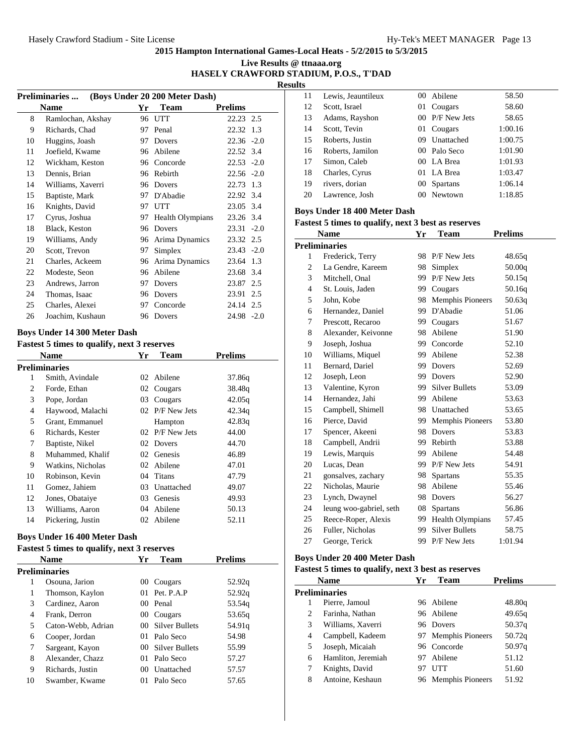| Live Results @ ttnaaa.org              |  |
|----------------------------------------|--|
| HASELY CRAWFORD STADIUM, P.O.S., T'DAD |  |

**Results**

|    | <b>Preliminaries </b> |    | (Boys Under 20 200 Meter Dash) |                |        |
|----|-----------------------|----|--------------------------------|----------------|--------|
|    | <b>Name</b>           | Yr | Team                           | <b>Prelims</b> |        |
| 8  | Ramlochan, Akshay     | 96 | UTT                            | 22.23 2.5      |        |
| 9  | Richards, Chad        | 97 | Penal                          | 22.32          | 1.3    |
| 10 | Huggins, Joash        | 97 | Dovers                         | 22.36          | $-2.0$ |
| 11 | Joefield, Kwame       | 96 | Abilene                        | 22.52          | 3.4    |
| 12 | Wickham, Keston       | 96 | Concorde                       | $22.53 - 2.0$  |        |
| 13 | Dennis, Brian         | 96 | Rebirth                        | $22.56 - 2.0$  |        |
| 14 | Williams, Xaverri     | 96 | Dovers                         | 22.73          | 1.3    |
| 15 | Baptiste, Mark        | 97 | D'Abadie                       | 22.92          | 3.4    |
| 16 | Knights, David        | 97 | <b>UTT</b>                     | 23.05 3.4      |        |
| 17 | Cyrus, Joshua         | 97 | Health Olympians               | 23.26 3.4      |        |
| 18 | Black, Keston         | 96 | Dovers                         | 23.31          | $-2.0$ |
| 19 | Williams, Andy        | 96 | Arima Dynamics                 | 23.32 2.5      |        |
| 20 | Scott, Trevon         | 97 | Simplex                        | $23.43 - 2.0$  |        |
| 21 | Charles, Ackeem       | 96 | Arima Dynamics                 | 23.64          | 1.3    |
| 22 | Modeste, Seon         | 96 | Abilene                        | 23.68          | 3.4    |
| 23 | Andrews, Jarron       | 97 | Dovers                         | 23.87          | 2.5    |
| 24 | Thomas, Isaac         | 96 | Dovers                         | 23.91          | 2.5    |
| 25 | Charles, Alexei       | 97 | Concorde                       | 24.14 2.5      |        |
| 26 | Joachim, Kushaun      | 96 | Dovers                         | 24.98 -2.0     |        |
|    |                       |    |                                |                |        |

#### **Boys Under 14 300 Meter Dash**

| <b>Fastest 5 times to qualify, next 3 reserves</b> |                      |    |              |                |  |
|----------------------------------------------------|----------------------|----|--------------|----------------|--|
|                                                    | <b>Name</b>          | Yr | Team         | <b>Prelims</b> |  |
|                                                    | <b>Preliminaries</b> |    |              |                |  |
| 1                                                  | Smith, Avindale      | 02 | Abilene      | 37.86q         |  |
| 2                                                  | Forde, Ethan         | 02 | Cougars      | 38.48g         |  |
| 3                                                  | Pope, Jordan         | 03 | Cougars      | 42.05q         |  |
| 4                                                  | Haywood, Malachi     | 02 | P/F New Jets | 42.34q         |  |
| 5                                                  | Grant, Emmanuel      |    | Hampton      | 42.83q         |  |
| 6                                                  | Richards, Kester     | 02 | P/F New Jets | 44.00          |  |
| 7                                                  | Baptiste, Nikel      | 02 | Dovers       | 44.70          |  |
| 8                                                  | Muhammed, Khalif     | 02 | Genesis      | 46.89          |  |
| 9                                                  | Watkins, Nicholas    | 02 | Abilene      | 47.01          |  |
| 10                                                 | Robinson, Kevin      | 04 | Titans       | 47.79          |  |
| 11                                                 | Gomez, Jahiem        | 03 | Unattached   | 49.07          |  |
| 12                                                 | Jones, Obataiye      | 03 | Genesis      | 49.93          |  |
| 13                                                 | Williams, Aaron      | 04 | Abilene      | 50.13          |  |
| 14                                                 | Pickering, Justin    |    | 02 Abilene   | 52.11          |  |

#### **Boys Under 16 400 Meter Dash**

#### **Fastest 5 times to qualify, next 3 reserves**

|    | <b>Name</b>        | Yr              | Team              | <b>Prelims</b> |  |  |  |
|----|--------------------|-----------------|-------------------|----------------|--|--|--|
|    | Preliminaries      |                 |                   |                |  |  |  |
| 1  | Osouna, Jarion     | 00              | Cougars           | 52.92q         |  |  |  |
| 1  | Thomson, Kaylon    |                 | 01 Pet. P.A.P     | 52.92q         |  |  |  |
| 3  | Cardinez, Aaron    |                 | 00 Penal          | 53.54g         |  |  |  |
| 4  | Frank, Derron      |                 | 00 Cougars        | 53.65g         |  |  |  |
| 5  | Caton-Webb, Adrian |                 | 00 Silver Bullets | 54.91g         |  |  |  |
| 6  | Cooper, Jordan     | 01.             | Palo Seco         | 54.98          |  |  |  |
| 7  | Sargeant, Kayon    |                 | 00 Silver Bullets | 55.99          |  |  |  |
| 8  | Alexander, Chazz   | 01.             | Palo Seco         | 57.27          |  |  |  |
| 9  | Richards, Justin   | 00 <sup>1</sup> | Unattached        | 57.57          |  |  |  |
| 10 | Swamber, Kwame     | 01.             | Palo Seco         | 57.65          |  |  |  |
|    |                    |                 |                   |                |  |  |  |

| 11 | Lewis, Jeauntileux |     | 00 Abilene      | 58.50   |
|----|--------------------|-----|-----------------|---------|
| 12 | Scott, Israel      | 01  | Cougars         | 58.60   |
| 13 | Adams, Rayshon     |     | 00 P/F New Jets | 58.65   |
| 14 | Scott, Tevin       | 01  | Cougars         | 1:00.16 |
| 15 | Roberts, Justin    | 09  | Unattached      | 1:00.75 |
| 16 | Roberts, Jamilon   |     | 00 Palo Seco    | 1:01.90 |
| 17 | Simon, Caleb       |     | 00 LA Brea      | 1:01.93 |
| 18 | Charles, Cyrus     | 01. | LA Brea         | 1:03.47 |
| 19 | rivers, dorian     | 00  | <b>Spartans</b> | 1:06.14 |
| 20 | Lawrence, Josh     | 00  | Newtown         | 1:18.85 |
|    |                    |     |                 |         |

## **Boys Under 18 400 Meter Dash**

## **Fastest 5 times to qualify, next 3 best as reserves**

| Name           |                         | Yr  | Team                    | <b>Prelims</b> |
|----------------|-------------------------|-----|-------------------------|----------------|
|                | <b>Preliminaries</b>    |     |                         |                |
| 1              | Frederick, Terry        | 98  | P/F New Jets            | 48.65q         |
| $\overline{c}$ | La Gendre, Kareem       | 98  | Simplex                 | 50.00q         |
| 3              | Mitchell, Onal          | 99  | P/F New Jets            | 50.15q         |
| 4              | St. Louis, Jaden        | 99  | Cougars                 | 50.16q         |
| 5              | John, Kobe              | 98  | <b>Memphis Pioneers</b> | 50.63q         |
| 6              | Hernandez, Daniel       | 99  | D'Abadie                | 51.06          |
| 7              | Prescott, Recaroo       | 99  | Cougars                 | 51.67          |
| 8              | Alexander, Keivonne     | 98  | Abilene                 | 51.90          |
| 9              | Joseph, Joshua          | 99  | Concorde                | 52.10          |
| 10             | Williams, Miquel        | 99  | Abilene                 | 52.38          |
| 11             | Bernard, Dariel         | 99  | Dovers                  | 52.69          |
| 12             | Joseph, Leon            | 99  | Dovers                  | 52.90          |
| 13             | Valentine, Kyron        | 99  | <b>Silver Bullets</b>   | 53.09          |
| 14             | Hernandez, Jahi         | 99  | Abilene                 | 53.63          |
| 15             | Campbell, Shimell       | 98  | Unattached              | 53.65          |
| 16             | Pierce, David           | 99. | <b>Memphis Pioneers</b> | 53.80          |
| 17             | Spencer, Akeeni         | 98  | <b>Dovers</b>           | 53.83          |
| 18             | Campbell, Andrii        | 99  | Rebirth                 | 53.88          |
| 19             | Lewis, Marquis          | 99  | Abilene                 | 54.48          |
| 20             | Lucas, Dean             | 99  | P/F New Jets            | 54.91          |
| 21             | gonsalves, zachary      | 98  | Spartans                | 55.35          |
| 22             | Nicholas, Maurie        | 98  | Abilene                 | 55.46          |
| 23             | Lynch, Dwaynel          | 98  | Dovers                  | 56.27          |
| 24             | leung woo-gabriel, seth | 08  | <b>Spartans</b>         | 56.86          |
| 25             | Reece-Roper, Alexis     | 99  | <b>Health Olympians</b> | 57.45          |
| 26             | Fuller, Nicholas        | 99  | <b>Silver Bullets</b>   | 58.75          |
| 27             | George, Terick          | 99  | P/F New Jets            | 1:01.94        |

## **Boys Under 20 400 Meter Dash**

| <b>Name</b> |                      | Yr | <b>Team</b>         | <b>Prelims</b> |
|-------------|----------------------|----|---------------------|----------------|
|             | <b>Preliminaries</b> |    |                     |                |
| 1           | Pierre, Jamoul       |    | 96 Abilene          | 48.80q         |
| 2           | Farinha, Nathan      |    | 96 Abilene          | 49.65g         |
| 3           | Williams, Xaverri    |    | 96 Dovers           | 50.37q         |
| 4           | Campbell, Kadeem     |    | 97 Memphis Pioneers | 50.72q         |
| 5           | Joseph, Micaiah      |    | 96 Concorde         | 50.97q         |
| 6           | Hamliton, Jeremiah   |    | 97 Abilene          | 51.12          |
| 7           | Knights, David       | 97 | UTT                 | 51.60          |
| 8           | Antoine, Keshaun     |    | 96 Memphis Pioneers | 51.92          |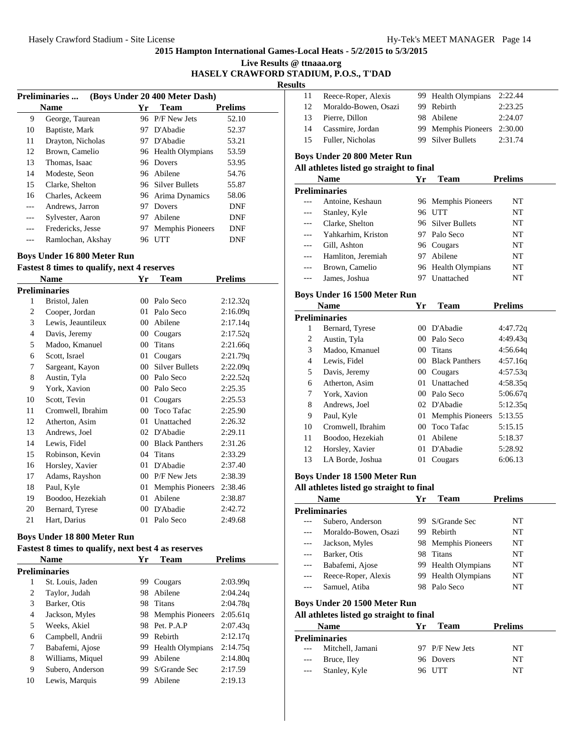#### **Live Results @ ttnaaa.org HASELY CRAWFORD STADIUM, P.O.S., T'DAD**

**Results**

|     | (Boys Under 20 400 Meter Dash)<br>Preliminaries |    |                         |                |  |  |
|-----|-------------------------------------------------|----|-------------------------|----------------|--|--|
|     | <b>Name</b>                                     | Yr | <b>Team</b>             | <b>Prelims</b> |  |  |
| 9   | George, Taurean                                 |    | 96 P/F New Jets         | 52.10          |  |  |
| 10  | Baptiste, Mark                                  | 97 | D'Abadie                | 52.37          |  |  |
| 11  | Drayton, Nicholas                               | 97 | D'Abadie                | 53.21          |  |  |
| 12  | Brown, Camelio                                  |    | 96 Health Olympians     | 53.59          |  |  |
| 13  | Thomas, Isaac                                   | 96 | Dovers                  | 53.95          |  |  |
| 14  | Modeste, Seon                                   |    | 96 Abilene              | 54.76          |  |  |
| 15  | Clarke, Shelton                                 |    | 96 Silver Bullets       | 55.87          |  |  |
| 16  | Charles, Ackeem                                 |    | 96 Arima Dynamics       | 58.06          |  |  |
| --- | Andrews, Jarron                                 | 97 | Dovers                  | <b>DNF</b>     |  |  |
| --- | Sylvester, Aaron                                | 97 | Abilene                 | DNF            |  |  |
|     | Fredericks, Jesse                               | 97 | <b>Memphis Pioneers</b> | <b>DNF</b>     |  |  |
|     | Ramlochan, Akshay                               | 96 | <b>UTT</b>              | DNF            |  |  |

#### **Boys Under 16 800 Meter Run**

**Fastest 8 times to qualify, next 4 reserves**

|    | <b>Name</b>          | Yr              | Team                    | <b>Prelims</b> |
|----|----------------------|-----------------|-------------------------|----------------|
|    | <b>Preliminaries</b> |                 |                         |                |
| 1  | Bristol, Jalen       | 00 <sup>1</sup> | Palo Seco               | 2:12.32q       |
| 2  | Cooper, Jordan       | 01              | Palo Seco               | 2:16.09q       |
| 3  | Lewis, Jeauntileux   | 00 <sup>1</sup> | Abilene                 | 2:17.14q       |
| 4  | Davis, Jeremy        | $00\,$          | Cougars                 | 2:17.52q       |
| 5  | Madoo, Kmanuel       | 00 <sup>1</sup> | <b>Titans</b>           | 2:21.66q       |
| 6  | Scott, Israel        | 01              | Cougars                 | 2:21.79q       |
| 7  | Sargeant, Kayon      | 00 <sup>°</sup> | <b>Silver Bullets</b>   | 2:22.09q       |
| 8  | Austin, Tyla         | 00 <sup>1</sup> | Palo Seco               | 2:22.52q       |
| 9  | York, Xavion         | $00\,$          | Palo Seco               | 2:25.35        |
| 10 | Scott, Tevin         | 01              | Cougars                 | 2:25.53        |
| 11 | Cromwell, Ibrahim    | $00\,$          | <b>Toco Tafac</b>       | 2:25.90        |
| 12 | Atherton, Asim       | 01              | Unattached              | 2:26.32        |
| 13 | Andrews, Joel        | 02              | D'Abadie                | 2:29.11        |
| 14 | Lewis, Fidel         | $00\,$          | <b>Black Panthers</b>   | 2:31.26        |
| 15 | Robinson, Kevin      | 04              | <b>Titans</b>           | 2:33.29        |
| 16 | Horsley, Xavier      | 01              | D'Abadie                | 2:37.40        |
| 17 | Adams, Rayshon       | 00 <sup>1</sup> | P/F New Jets            | 2:38.39        |
| 18 | Paul, Kyle           | 01              | <b>Memphis Pioneers</b> | 2:38.46        |
| 19 | Boodoo, Hezekiah     | 01              | Abilene                 | 2:38.87        |
| 20 | Bernard, Tyrese      | 00 <sup>1</sup> | D'Abadie                | 2:42.72        |
| 21 | Hart, Darius         | 01              | Palo Seco               | 2:49.68        |
|    |                      |                 |                         |                |

#### **Boys Under 18 800 Meter Run**

## **Fastest 8 times to qualify, next best 4 as reserves**

|               | <b>Name</b>      | Yr  | Team                | <b>Prelims</b> |  |  |
|---------------|------------------|-----|---------------------|----------------|--|--|
| Preliminaries |                  |     |                     |                |  |  |
| 1             | St. Louis, Jaden | 99  | Cougars             | 2:03.99q       |  |  |
| 2             | Taylor, Judah    | 98  | Abilene             | 2:04.24q       |  |  |
| 3             | Barker, Otis     | 98  | Titans              | 2:04.78q       |  |  |
| 4             | Jackson, Myles   |     | 98 Memphis Pioneers | 2:05.61q       |  |  |
| 5             | Weeks. Akiel     | 98. | Pet. P.A.P          | 2:07.43q       |  |  |
| 6             | Campbell, Andrii | 99  | Rebirth             | 2:12.17q       |  |  |
| 7             | Babafemi, Ajose  | 99. | Health Olympians    | 2:14.75q       |  |  |
| 8             | Williams, Miquel | 99  | Abilene             | 2:14.80q       |  |  |
| 9             | Subero, Anderson | 99  | S/Grande Sec        | 2:17.59        |  |  |
| 10            | Lewis, Marquis   | 99  | Abilene             | 2:19.13        |  |  |

| 11 | Reece-Roper, Alexis  | 99 Health Olympians | 2:22.44 |
|----|----------------------|---------------------|---------|
| 12 | Moraldo-Bowen, Osazi | 99 Rebirth          | 2:23.25 |
| 13 | Pierre, Dillon       | 98 Abilene          | 2:24.07 |
| 14 | Cassmire, Jordan     | 99 Memphis Pioneers | 2:30.00 |
| 15 | Fuller, Nicholas     | 99 Silver Bullets   | 2:31.74 |
|    |                      |                     |         |

## **Boys Under 20 800 Meter Run**

#### **All athletes listed go straight to final**

|       | <b>Name</b>        | Yr  | Team                | <b>Prelims</b> |
|-------|--------------------|-----|---------------------|----------------|
|       | Preliminaries      |     |                     |                |
|       | Antoine, Keshaun   |     | 96 Memphis Pioneers | NT             |
| $---$ | Stanley, Kyle      |     | 96 UTT              | NT             |
|       | Clarke, Shelton    |     | 96 Silver Bullets   | NT             |
|       | Yahkarhim, Kriston |     | 97 Palo Seco        | NT             |
|       | Gill, Ashton       |     | 96 Cougars          | NT             |
|       | Hamliton, Jeremiah | 97. | Abilene             | NT             |
|       | Brown, Camelio     |     | 96 Health Olympians | NT             |
|       | James, Joshua      |     | Unattached          | NT             |

#### **Boys Under 16 1500 Meter Run**

|    | <b>Name</b>          | Yr              | <b>Team</b>             | <b>Prelims</b> |
|----|----------------------|-----------------|-------------------------|----------------|
|    | <b>Preliminaries</b> |                 |                         |                |
| 1  | Bernard, Tyrese      | 00 <sup>1</sup> | D'Abadie                | 4:47.72q       |
| 2  | Austin, Tyla         | $00 -$          | Palo Seco               | 4:49.43q       |
| 3  | Madoo, Kmanuel       | 00 <sup>1</sup> | Titans                  | 4:56.64q       |
| 4  | Lewis, Fidel         | 00              | <b>Black Panthers</b>   | 4:57.16q       |
| 5  | Davis, Jeremy        | 00              | Cougars                 | 4:57.53q       |
| 6  | Atherton, Asim       | 01              | Unattached              | 4:58.35q       |
| 7  | York, Xavion         | 00 <sup>1</sup> | Palo Seco               | 5:06.67q       |
| 8  | Andrews, Joel        |                 | 02 D'Abadie             | 5:12.35q       |
| 9  | Paul, Kyle           | 01 -            | <b>Memphis Pioneers</b> | 5:13.55        |
| 10 | Cromwell, Ibrahim    | 00 <sup>1</sup> | Toco Tafac              | 5:15.15        |
| 11 | Boodoo, Hezekiah     | 01              | Abilene                 | 5:18.37        |
| 12 | Horsley, Xavier      | 01              | D'Abadie                | 5:28.92        |
| 13 | LA Borde, Joshua     | 01              | Cougars                 | 6:06.13        |

#### **Boys Under 18 1500 Meter Run**

|       | <b>Name</b>                              | Yr  | Team                    | <b>Prelims</b> |
|-------|------------------------------------------|-----|-------------------------|----------------|
|       | Preliminaries                            |     |                         |                |
|       | Subero, Anderson                         | 99. | S/Grande Sec            | NT             |
| ---   | Moraldo-Bowen, Osazi                     | 99. | Rebirth                 | NT             |
| ---   | Jackson, Myles                           | 98. | <b>Memphis Pioneers</b> | NT             |
|       | Barker, Otis                             | 98. | <b>Titans</b>           | NT             |
| $---$ | Babafemi, Ajose                          |     | 99 Health Olympians     | NT             |
| $---$ | Reece-Roper, Alexis                      |     | 99 Health Olympians     | NT             |
|       | Samuel, Atiba                            |     | 98 Palo Seco            | NT             |
|       | Boys Under 20 1500 Meter Run             |     |                         |                |
|       | All athletes listed go straight to final |     |                         |                |
|       | <b>Name</b>                              | Yr  | <b>Team</b>             | <b>Prelims</b> |
|       | Preliminaries                            |     |                         |                |
|       | Mitchell, Jamani                         |     | 97 P/F New Jets         | NT             |
|       | Bruce, Iley                              |     | 96 Dovers               | NT             |
| ---   | Stanley, Kyle                            | 96  | UTT                     | NT             |
|       |                                          |     |                         |                |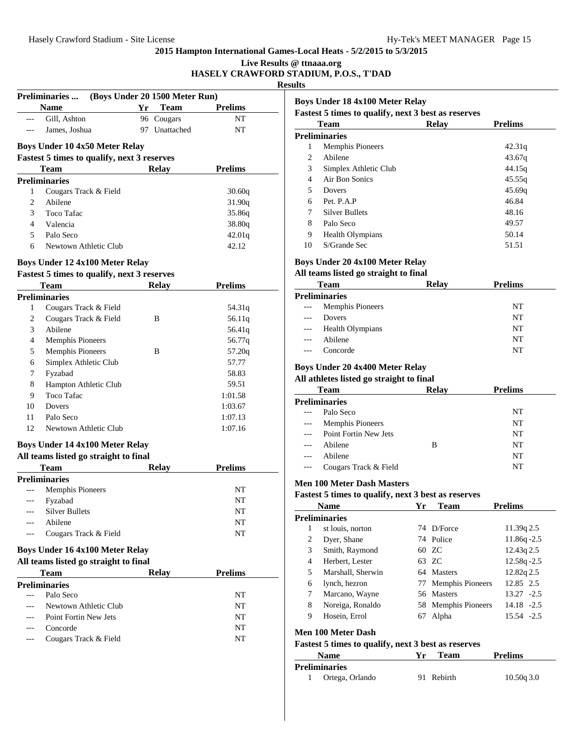| Live Results @ ttnaaa.org              |  |
|----------------------------------------|--|
| HASELY CRAWFORD STADIUM, P.O.S., T'DAD |  |

**Results**

|     | <b>Preliminaries</b>                               | (Boys Under 20 1500 Meter Run) |                |
|-----|----------------------------------------------------|--------------------------------|----------------|
|     | <b>Name</b>                                        | Yr Team                        | <b>Prelims</b> |
| --- | Gill, Ashton                                       | 96 Cougars                     | NT             |
| --- | James, Joshua                                      | 97 Unattached                  | NT             |
|     | <b>Boys Under 10 4x50 Meter Relay</b>              |                                |                |
|     | <b>Fastest 5 times to qualify, next 3 reserves</b> |                                |                |
|     | Team                                               | <b>Relay</b>                   | <b>Prelims</b> |
|     | <b>Preliminaries</b>                               |                                |                |
| 1   | Cougars Track & Field                              |                                | 30.60q         |
| 2   | Abilene                                            |                                | 31.90q         |
| 3   | Toco Tafac                                         |                                | 35.86q         |
| 4   | Valencia                                           |                                | 38.80g         |
| 5   | Palo Seco                                          |                                | 42.01q         |
| 6   | Newtown Athletic Club                              |                                | 42.12          |
|     | <b>Boys Under 12 4x100 Meter Relay</b>             |                                |                |
|     | <b>Fastest 5 times to qualify, next 3 reserves</b> |                                |                |
|     | Team                                               | <b>Relay</b>                   | <b>Prelims</b> |
|     | <b>Preliminaries</b>                               |                                |                |
| 1   | Cougars Track & Field                              |                                | 54.31q         |
| 2   | Cougars Track & Field                              | B                              | 56.11q         |
| 3   | Abilene                                            |                                | 56.41q         |
| 4   | <b>Memphis Pioneers</b>                            |                                | 56.77q         |
| 5   | Memphis Pioneers                                   | B                              | 57.20q         |
| 6   | Simplex Athletic Club                              |                                | 57.77          |
| 7   | Fyzabad                                            |                                | 58.83          |
| 8   | Hampton Athletic Club                              |                                | 59.51          |
| 9   | <b>Toco Tafac</b>                                  |                                | 1:01.58        |
| 10  | Dovers                                             |                                | 1:03.67        |
| 11  | Palo Seco                                          |                                | 1:07.13        |
| 12  | Newtown Athletic Club                              |                                | 1:07.16        |
|     | <b>Boys Under 14 4x100 Meter Relay</b>             |                                |                |
|     | All teams listed go straight to final              |                                |                |
|     | Team                                               | Relay                          | <b>Prelims</b> |
|     | <b>Preliminaries</b>                               |                                |                |
| --- | Memphis Pioneers                                   |                                | NΤ             |
|     | Fyzabad                                            |                                | NT             |
|     | Silver Bullets                                     |                                | NΤ             |
|     | Abilene                                            |                                | NΤ             |
| --- | Cougars Track & Field                              |                                | NΤ             |
|     | Boys Under 16 4x100 Meter Relay                    |                                |                |
|     |                                                    |                                |                |
|     | All teams listed go straight to final              |                                |                |
|     | <b>Team</b>                                        | Relay                          | <b>Prelims</b> |
| --- | <b>Preliminaries</b>                               |                                |                |
|     | Palo Seco                                          |                                | NΤ             |
|     | Newtown Athletic Club                              |                                | NΤ             |
|     | Point Fortin New Jets<br>Concorde                  |                                | NΤ<br>NT       |

|    | <b>Team</b>             | Relav | <b>Prelims</b> |
|----|-------------------------|-------|----------------|
|    | Preliminaries           |       |                |
| l  | <b>Memphis Pioneers</b> |       | 42.31q         |
| 2  | Abilene                 |       | 43.67q         |
| 3  | Simplex Athletic Club   |       | 44.15q         |
| 4  | Air Bon Sonics          |       | 45.55q         |
| 5  | Dovers                  |       | 45.69q         |
| 6  | Pet. P.A.P              |       | 46.84          |
| 7  | Silver Bullets          |       | 48.16          |
| 8  | Palo Seco               |       | 49.57          |
| 9  | <b>Health Olympians</b> |       | 50.14          |
| 10 | S/Grande Sec            |       | 51.51          |

## **Boys Under 20 4x100 Meter Relay**

## **All teams listed go straight to final**

|                                                         | <b>Team</b>             | <b>Relay</b> | <b>Prelims</b> |  |
|---------------------------------------------------------|-------------------------|--------------|----------------|--|
|                                                         | <b>Preliminaries</b>    |              |                |  |
| $\hspace{0.05cm} \ldots \hspace{0.05cm}$                | <b>Memphis Pioneers</b> |              | NT             |  |
| $\frac{1}{2}$                                           | Dovers                  |              | NT             |  |
| $\hspace{0.05cm} - \hspace{0.05cm} - \hspace{0.05cm} -$ | <b>Health Olympians</b> |              | NT             |  |
| $---$                                                   | Abilene                 |              | NT             |  |
|                                                         | Concorde                |              | NT             |  |
|                                                         |                         |              |                |  |

## **Boys Under 20 4x400 Meter Relay**

## **All athletes listed go straight to final**

|               | <b>Team</b>             | <b>Relay</b> | <b>Prelims</b> |
|---------------|-------------------------|--------------|----------------|
|               | <b>Preliminaries</b>    |              |                |
| $\cdots$      | Palo Seco               |              | NT             |
| $\cdots$      | <b>Memphis Pioneers</b> |              | NT             |
| $\frac{1}{2}$ | Point Fortin New Jets   |              | NT             |
| $---$         | Abilene                 | в            | NT             |
| $---$         | Abilene                 |              | NT             |
| $---$         | Cougars Track & Field   |              | NT             |

## **Men 100 Meter Dash Masters**

|                    | <b>Name</b>                                                | Yr | <b>Team</b>         | <b>Prelims</b> |  |
|--------------------|------------------------------------------------------------|----|---------------------|----------------|--|
|                    | Preliminaries                                              |    |                     |                |  |
| 1                  | st louis, norton                                           |    | 74 D/Force          | 11.39q 2.5     |  |
| 2                  | Dyer, Shane                                                |    | 74 Police           | $11.86q - 2.5$ |  |
| 3                  | Smith, Raymond                                             |    | 60 ZC               | 12.43q 2.5     |  |
| 4                  | Herbert, Lester                                            |    | 63 ZC               | $12.58q - 2.5$ |  |
| 5                  | Marshall, Sherwin                                          |    | 64 Masters          | 12.82q 2.5     |  |
| 6                  | lynch, hezron                                              |    | 77 Memphis Pioneers | 12.85 2.5      |  |
| 7                  | Marcano, Wayne                                             |    | 56 Masters          | $13.27 - 2.5$  |  |
| 8                  | Noreiga, Ronaldo                                           |    | 58 Memphis Pioneers | $14.18 - 2.5$  |  |
| 9                  | Hosein, Errol                                              | 67 | Alpha               | 15.54 -2.5     |  |
| Men 100 Meter Dash |                                                            |    |                     |                |  |
|                    | <b>Fastest 5 times to qualify, next 3 best as reserves</b> |    |                     |                |  |
|                    | <b>Name</b>                                                | Yr | <b>Team</b>         | <b>Prelims</b> |  |

| Preliminaries   |            |           |
|-----------------|------------|-----------|
| Ortega, Orlando | 91 Rebirth | 10.50q3.0 |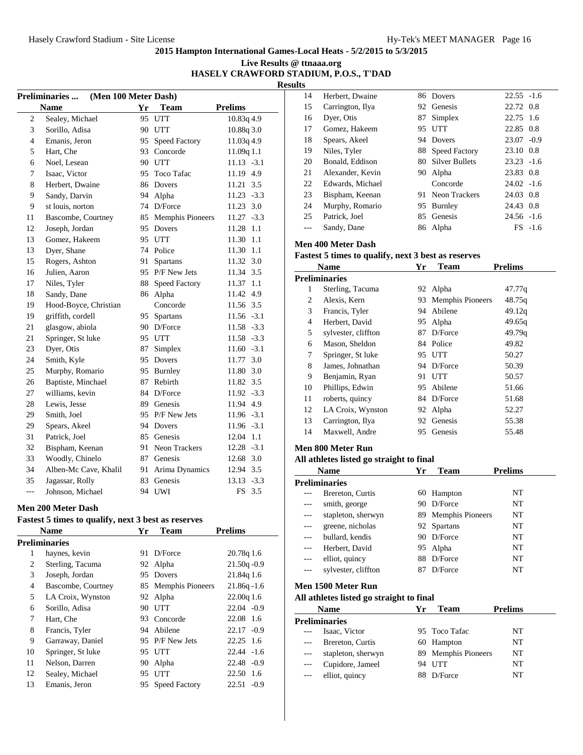| Live Results @ ttnaaa.org              |  |
|----------------------------------------|--|
| HASELY CRAWFORD STADIUM, P.O.S., T'DAD |  |

**Results**

|                | <b>Preliminaries</b><br>(Men 100 Meter Dash) |    |                         |                  |
|----------------|----------------------------------------------|----|-------------------------|------------------|
|                | <b>Name</b>                                  | Yr | <b>Team</b>             | <b>Prelims</b>   |
| $\overline{c}$ | Sealey, Michael                              | 95 | <b>UTT</b>              | 10.83q 4.9       |
| 3              | Sorillo, Adisa                               | 90 | UTT                     | 10.88q 3.0       |
| $\overline{4}$ | Emanis, Jeron                                | 95 | <b>Speed Factory</b>    | 11.03q 4.9       |
| 5              | Hart, Che                                    | 93 | Concorde                | 11.09q 1.1       |
| 6              | Noel, Lesean                                 |    | 90 UTT                  | $11.13 - 3.1$    |
| 7              | Isaac, Victor                                | 95 | Toco Tafac              | 11.19 4.9        |
| 8              | Herbert, Dwaine                              | 86 | Dovers                  | 11.21<br>3.5     |
| 9              | Sandy, Darvin                                | 94 | Alpha                   | 11.23<br>$-3.3$  |
| 9              | st louis, norton                             | 74 | D/Force                 | 11.23<br>3.0     |
| 11             | Bascombe, Courtney                           | 85 | <b>Memphis Pioneers</b> | 11.27<br>$-3.3$  |
| 12             | Joseph, Jordan                               | 95 | Dovers                  | 11.28<br>1.1     |
| 13             | Gomez, Hakeem                                | 95 | <b>UTT</b>              | 11.30<br>1.1     |
| 13             | Dyer, Shane                                  | 74 | Police                  | 1.1<br>11.30     |
| 15             | Rogers, Ashton                               | 91 | Spartans                | 3.0<br>11.32     |
| 16             | Julien. Aaron                                |    | 95 P/F New Jets         | 3.5<br>11.34     |
| 17             | Niles, Tyler                                 | 88 | Speed Factory           | 1.1<br>11.37     |
| 18             | Sandy, Dane                                  | 86 | Alpha                   | 4.9<br>11.42     |
| 19             | Hood-Boyce, Christian                        |    | Concorde                | 11.56 3.5        |
| 19             | griffith, cordell                            | 95 | Spartans                | $11.56 - 3.1$    |
| 21             | glasgow, abiola                              |    | 90 D/Force              | 11.58 -3.3       |
| 21             | Springer, St luke                            |    | 95 UTT                  | 11.58 -3.3       |
| 23             | Dyer, Otis                                   | 87 | Simplex                 | $11.60 - 3.1$    |
| 24             | Smith, Kyle                                  |    | 95 Dovers               | 3.0<br>11.77     |
| 25             | Murphy, Romario                              |    | 95 Burnley              | 11.80 3.0        |
| 26             | Baptiste, Minchael                           | 87 | Rebirth                 | 3.5<br>11.82     |
| 27             | williams, kevin                              |    | 84 D/Force              | 11.92 -3.3       |
| 28             | Lewis, Jesse                                 |    | 89 Genesis              | 11.94 4.9        |
| 29             | Smith, Joel                                  | 95 | P/F New Jets            | 11.96 -3.1       |
| 29             | Spears, Akeel                                | 94 | Dovers                  | 11.96 -3.1       |
| 31             | Patrick, Joel                                |    | 85 Genesis              | 1.1<br>12.04     |
| 32             | Bispham, Keenan                              |    | 91 Neon Trackers        | $12.28 - 3.1$    |
| 33             | Woodly, Chinelo                              |    | 87 Genesis              | 3.0<br>12.68     |
| 34             | Alben-Mc Cave, Khalil                        | 91 | Arima Dynamics          | 3.5<br>12.94     |
| 35             | Jagassar, Rolly                              | 83 | Genesis                 | $-3.3$<br>13.13  |
| ---            | Johnson, Michael                             | 94 | UWI                     | <b>FS</b><br>3.5 |

#### **Men 200 Meter Dash**

| <b>Fastest 5 times to qualify, next 3 best as reserves</b> |      |             |                |
|------------------------------------------------------------|------|-------------|----------------|
| <b>Name</b>                                                | Vr - | <b>Team</b> | <b>Prelims</b> |
| <b>Preliminaries</b>                                       |      |             |                |

|                | renminaries        |     |                      |                 |
|----------------|--------------------|-----|----------------------|-----------------|
| 1              | haynes, kevin      |     | 91 D/Force           | 20.78q 1.6      |
| 2              | Sterling, Tacuma   | 92  | Alpha                | $21.50q - 0.9$  |
| 3              | Joseph, Jordan     |     | 95 Dovers            | 21.84g 1.6      |
| $\overline{4}$ | Bascombe, Courtney |     | 85 Memphis Pioneers  | $21.86q - 1.6$  |
| 5              | LA Croix, Wynston  |     | 92 Alpha             | 22.00q 1.6      |
| 6              | Sorillo, Adisa     | 90. | UTT                  | $22.04 -0.9$    |
| 7              | Hart, Che          |     | 93 Concorde          | 22.08 1.6       |
| 8              | Francis, Tyler     |     | 94 Abilene           | $22.17 - 0.9$   |
| 9              | Garraway, Daniel   |     | 95 P/F New Jets      | $22.25$ 1.6     |
| 10             | Springer, St luke  | 95  | UTT                  | $22.44 - 1.6$   |
| 11             | Nelson, Darren     | 90. | Alpha                | $22.48 - 0.9$   |
| 12             | Sealey, Michael    | 95  | UTT                  | 22.50 1.6       |
| 13             | Emanis, Jeron      | 95  | <b>Speed Factory</b> | 22.51<br>$-0.9$ |
|                |                    |     |                      |                 |

| 14 | Herbert, Dwaine  |    | 86 Dovers             | $22.55 - 1.6$ |           |
|----|------------------|----|-----------------------|---------------|-----------|
| 15 | Carrington, Ilya |    | 92 Genesis            | 22.72 0.8     |           |
| 16 | Dyer, Otis       | 87 | Simplex               | 22.75 1.6     |           |
| 17 | Gomez, Hakeem    | 95 | <b>UTT</b>            | 22.85 0.8     |           |
| 18 | Spears, Akeel    |    | 94 Dovers             | $23.07 -0.9$  |           |
| 19 | Niles, Tyler     |    | 88 Speed Factory      | 23.10 0.8     |           |
| 20 | Bonald, Eddison  | 80 | <b>Silver Bullets</b> | $23.23 - 1.6$ |           |
| 21 | Alexander, Kevin | 90 | Alpha                 | 23.83 0.8     |           |
| 22 | Edwards, Michael |    | Concorde              | $24.02 -1.6$  |           |
| 23 | Bispham, Keenan  |    | 91 Neon Trackers      | 24.03 0.8     |           |
| 24 | Murphy, Romario  | 95 | Burnley               | 24.43 0.8     |           |
| 25 | Patrick, Joel    |    | 85 Genesis            | $24.56 - 1.6$ |           |
|    | Sandy, Dane      |    | 86 Alpha              |               | $FS -1.6$ |

## **Men 400 Meter Dash**

#### **Fastest 5 times to qualify, next 3 best as reserves**

|    | Name                | Yr | Team                    | <b>Prelims</b> |
|----|---------------------|----|-------------------------|----------------|
|    | Preliminaries       |    |                         |                |
| 1  | Sterling, Tacuma    |    | 92 Alpha                | 47.77g         |
| 2  | Alexis, Kern        | 93 | <b>Memphis Pioneers</b> | 48.75q         |
| 3  | Francis, Tyler      | 94 | Abilene                 | 49.12q         |
| 4  | Herbert, David      | 95 | Alpha                   | 49.65q         |
| 5  | sylvester, cliffton | 87 | $D/F$ orce              | 49.79g         |
| 6  | Mason, Sheldon      |    | 84 Police               | 49.82          |
| 7  | Springer, St luke   |    | 95 UTT                  | 50.27          |
| 8  | James, Johnathan    |    | 94 D/Force              | 50.39          |
| 9  | Benjamin, Ryan      | 91 | <b>UTT</b>              | 50.57          |
| 10 | Phillips, Edwin     |    | 95 Abilene              | 51.66          |
| 11 | roberts, quincy     |    | 84 D/Force              | 51.68          |
| 12 | LA Croix, Wynston   |    | 92 Alpha                | 52.27          |
| 13 | Carrington, Ilya    | 92 | Genesis                 | 55.38          |
| 14 | Maxwell, Andre      | 95 | Genesis                 | 55.48          |
|    |                     |    |                         |                |

#### **Men 800 Meter Run**

#### **All athletes listed go straight to final**

|     | <b>Name</b>          | Yr  | <b>Team</b>         | <b>Prelims</b> |
|-----|----------------------|-----|---------------------|----------------|
|     | <b>Preliminaries</b> |     |                     |                |
|     | Brereton, Curtis     |     | 60 Hampton          | NT             |
|     | smith, george        | 90  | D/Force             | NT             |
| --- | stapleton, sherwyn   |     | 89 Memphis Pioneers | NT             |
|     | greene, nicholas     |     | 92 Spartans         | NT             |
|     | bullard, kendis      | 90. | D/Force             | NT             |
|     | Herbert, David       |     | 95 Alpha            | NT             |
|     | elliot, quincy       | 88  | D/Force             | NT             |
|     | sylvester, cliffton  | 87  | D/Force             | NT             |
|     |                      |     |                     |                |

## **Men 1500 Meter Run**

|       | <b>Name</b>          | Уr | Team-               | <b>Prelims</b> |  |
|-------|----------------------|----|---------------------|----------------|--|
|       | <b>Preliminaries</b> |    |                     |                |  |
| $---$ | Isaac, Victor        |    | 95 Toco Tafac       | NT             |  |
| $---$ | Brereton, Curtis     |    | 60 Hampton          | NT             |  |
| ---   | stapleton, sherwyn   |    | 89 Memphis Pioneers | NT             |  |
| ---   | Cupidore, Jameel     |    | 94 UTT              | NT             |  |
| $---$ | elliot, quincy       |    | D/Force             | NT             |  |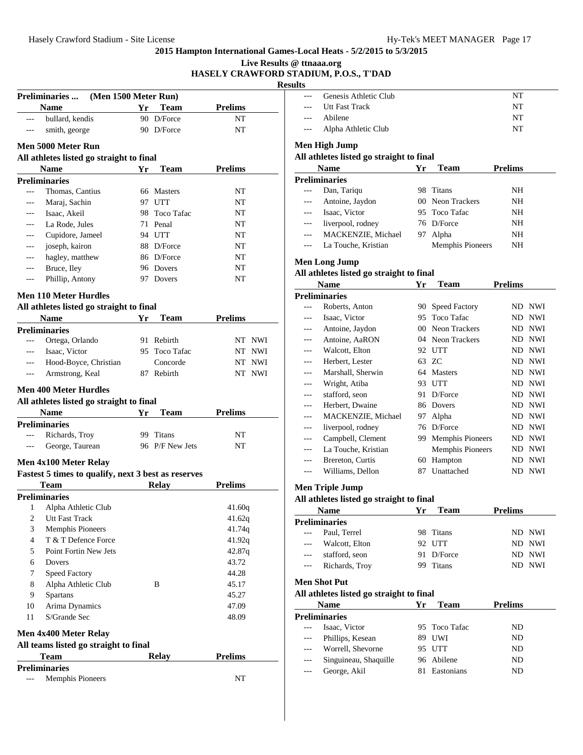|                          |                                                     |    |                 |                | Live Results @ ttnaaa.org | HASELY CRAWFORD STADIUM, P.O.S., T'DAD |
|--------------------------|-----------------------------------------------------|----|-----------------|----------------|---------------------------|----------------------------------------|
|                          |                                                     |    |                 |                | <b>Results</b>            |                                        |
|                          | (Men 1500 Meter Run)<br><b>Preliminaries</b>        |    |                 |                | $-$                       | Genesis Athletic Clul                  |
|                          | <b>Name</b>                                         | Yr | <b>Team</b>     | <b>Prelims</b> |                           | Utt Fast Track                         |
| $\overline{a}$           | bullard, kendis                                     |    | 90 D/Force      | NT             | $---$<br>$---$            | Abilene<br>Alpha Athletic Club         |
| $---$                    | smith, george                                       |    | 90 D/Force      | NT             |                           |                                        |
|                          | Men 5000 Meter Run                                  |    |                 |                |                           | <b>Men High Jump</b>                   |
|                          | All athletes listed go straight to final            |    |                 |                |                           | All athletes listed go strai           |
|                          | Name                                                | Yr | <b>Team</b>     | <b>Prelims</b> |                           | <b>Name</b>                            |
|                          | <b>Preliminaries</b>                                |    |                 |                |                           | <b>Preliminaries</b>                   |
| $---$                    | Thomas, Cantius                                     |    | 66 Masters      | NT             | $---$                     | Dan, Tariqu                            |
| ---                      | Maraj, Sachin                                       |    | 97 UTT          | NT             | $\overline{a}$            | Antoine, Jaydon                        |
| $---$                    | Isaac, Akeil                                        | 98 | Toco Tafac      | NT             | $---$                     | Isaac, Victor                          |
| $---$                    | La Rode, Jules                                      |    | 71 Penal        | NT             | $---$                     | liverpool, rodney                      |
| ---                      | Cupidore, Jameel                                    |    | 94 UTT          | NT             | $---$                     | MACKENZIE, Mich                        |
| $\overline{\phantom{a}}$ | joseph, kairon                                      |    | 88 D/Force      | NΤ             | $---$                     | La Touche, Kristian                    |
| $---$                    | hagley, matthew                                     |    | 86 D/Force      | NΤ             |                           |                                        |
| $---$                    | Bruce, Iley                                         |    | 96 Dovers       | NT             |                           | <b>Men Long Jump</b>                   |
| $---$                    | Phillip, Antony                                     |    | 97 Dovers       | NΤ             |                           | All athletes listed go strai           |
|                          |                                                     |    |                 |                |                           | <b>Name</b>                            |
|                          | <b>Men 110 Meter Hurdles</b>                        |    |                 |                |                           | <b>Preliminaries</b>                   |
|                          | All athletes listed go straight to final            |    |                 |                | $---$                     | Roberts, Anton                         |
|                          | <b>Name</b>                                         | Yr | <b>Team</b>     | <b>Prelims</b> | $\overline{a}$            | Isaac, Victor                          |
|                          | <b>Preliminaries</b>                                |    |                 |                | ---                       | Antoine, Jaydon                        |
| $---$                    | Ortega, Orlando                                     |    | 91 Rebirth      | NT NWI         | ---                       | Antoine, AaRON                         |
| $---$                    | Isaac, Victor                                       |    | 95 Toco Tafac   | NT NWI         | $\overline{a}$            | Walcott, Elton                         |
| $---$                    | Hood-Boyce, Christian                               |    | Concorde        | NT NWI         | $\overline{a}$            | Herbert, Lester                        |
| $---$                    | Armstrong, Keal                                     |    | 87 Rebirth      | NT NWI         | ---                       | Marshall, Sherwin                      |
|                          | <b>Men 400 Meter Hurdles</b>                        |    |                 |                | $\cdots$                  | Wright, Atiba                          |
|                          |                                                     |    |                 |                | ---                       | stafford, seon                         |
|                          | All athletes listed go straight to final            |    |                 |                | ---                       | Herbert, Dwaine                        |
|                          | <b>Name</b>                                         | Yr | Team            | <b>Prelims</b> | $---$                     | MACKENZIE, Mich                        |
|                          | <b>Preliminaries</b>                                |    |                 |                | $---$                     | liverpool, rodney                      |
| $---$                    | Richards, Troy                                      |    | 99 Titans       | NΤ             | $\cdots$                  | Campbell, Clement                      |
|                          | George, Taurean                                     |    | 96 P/F New Jets | NT             | $---$                     | La Touche, Kristian                    |
|                          | Men 4x100 Meter Relay                               |    |                 |                | ---                       | Brereton, Curtis                       |
|                          | Fastest 5 times to qualify, next 3 best as reserves |    |                 |                | ---                       | Williams, Dellon                       |
|                          | Team Relay                                          |    |                 | <b>Prelims</b> |                           | <b>Men Triple Jump</b>                 |
|                          | <b>Preliminaries</b>                                |    |                 |                |                           |                                        |
| 1                        | Alpha Athletic Club                                 |    |                 | 41.60q         |                           | All athletes listed go strai           |
| $\mathfrak{2}$           | <b>Utt Fast Track</b>                               |    |                 | 41.62q         |                           | <b>Name</b>                            |
| 3                        | Memphis Pioneers                                    |    |                 | 41.74q         |                           | <b>Preliminaries</b>                   |
| 4                        | T & T Defence Force                                 |    |                 | 41.92q         | $- - -$                   | Paul, Terrel                           |
| 5                        | Point Fortin New Jets                               |    |                 | 42.87q         | $\overline{a}$            | Walcott, Elton                         |
| 6                        | Dovers                                              |    |                 | 43.72          |                           | stafford, seon                         |
|                          |                                                     |    |                 |                | $\overline{a}$            | Richards, Troy                         |
| 7                        | Speed Factory                                       |    |                 | 44.28          |                           | <b>Men Shot Put</b>                    |
| 8                        | Alpha Athletic Club                                 |    | B               | 45.17          |                           |                                        |
| 9                        | Spartans                                            |    |                 | 45.27          |                           | All athletes listed go strai           |
| 10                       | Arima Dynamics                                      |    |                 | 47.09          |                           | <b>Name</b>                            |
| 11                       | S/Grande Sec                                        |    |                 | 48.09          |                           | <b>Preliminaries</b>                   |
|                          | Men 4x400 Meter Relay                               |    |                 |                | $---$                     | Isaac, Victor                          |
|                          | All teams listed go straight to final               |    |                 |                | $---$                     | Phillips, Kesean                       |
|                          | <b>Team</b>                                         |    | <b>Relay</b>    | <b>Prelims</b> | ---                       | Worrell, Shevorne                      |
|                          | <b>Preliminaries</b>                                |    |                 |                | ---                       | Singuineau, Shaquille                  |
| ---                      | <b>Memphis Pioneers</b>                             |    |                 | NT             | ---                       | George, Akil                           |
|                          |                                                     |    |                 |                |                           |                                        |

| $\sim$ $\sim$ $\sim$                                                                                                                                                                                                                                                                                                                                                                                                                                                       | Genesis Athletic Club | NT |
|----------------------------------------------------------------------------------------------------------------------------------------------------------------------------------------------------------------------------------------------------------------------------------------------------------------------------------------------------------------------------------------------------------------------------------------------------------------------------|-----------------------|----|
|                                                                                                                                                                                                                                                                                                                                                                                                                                                                            | --- Utt Fast Track    | NT |
| $\scriptstyle \cdots$                                                                                                                                                                                                                                                                                                                                                                                                                                                      | Abilene               | NT |
| $\frac{1}{2} \left( \frac{1}{2} \right) \left( \frac{1}{2} \right) \left( \frac{1}{2} \right) \left( \frac{1}{2} \right) \left( \frac{1}{2} \right) \left( \frac{1}{2} \right) \left( \frac{1}{2} \right) \left( \frac{1}{2} \right) \left( \frac{1}{2} \right) \left( \frac{1}{2} \right) \left( \frac{1}{2} \right) \left( \frac{1}{2} \right) \left( \frac{1}{2} \right) \left( \frac{1}{2} \right) \left( \frac{1}{2} \right) \left( \frac{1}{2} \right) \left( \frac$ | Alpha Athletic Club   | NT |

#### **Men High Jump**

## **All athletes listed go straight to final**

|               | <b>Name</b>          | Yг  | <b>Team</b>             | <b>Prelims</b> |
|---------------|----------------------|-----|-------------------------|----------------|
|               | <b>Preliminaries</b> |     |                         |                |
|               | Dan, Tariqu          | 98  | Titans                  | NH             |
|               | Antoine, Jaydon      |     | 00 Neon Trackers        | NH             |
| $\frac{1}{2}$ | Isaac, Victor        |     | 95 Toco Tafac           | NH             |
|               | liverpool, rodney    |     | 76 D/Force              | NH             |
|               | MACKENZIE, Michael   | 97. | Alpha                   | NH             |
|               | La Touche, Kristian  |     | <b>Memphis Pioneers</b> | NΗ             |

### **Men Long Jump**

## **All athletes listed go straight to final**

|       | <b>Name</b>         | Yr              | Team                    | Prelims |            |  |
|-------|---------------------|-----------------|-------------------------|---------|------------|--|
|       | Preliminaries       |                 |                         |         |            |  |
|       | Roberts, Anton      | 90              | <b>Speed Factory</b>    |         | ND NWI     |  |
|       | Isaac, Victor       | 95              | <b>Toco Tafac</b>       | ND.     | <b>NWI</b> |  |
|       | Antoine, Jaydon     | 00 <sup>1</sup> | Neon Trackers           | ND.     | <b>NWI</b> |  |
|       | Antoine, AaRON      | 04              | Neon Trackers           | ND.     | <b>NWI</b> |  |
|       | Walcott, Elton      | 92              | <b>UTT</b>              | ND.     | <b>NWI</b> |  |
|       | Herbert, Lester     | 63              | ZC.                     | ND.     | <b>NWI</b> |  |
|       | Marshall, Sherwin   | 64              | <b>Masters</b>          | ND.     | NWI        |  |
|       | Wright, Atiba       | 93              | <b>UTT</b>              | ND.     | <b>NWI</b> |  |
|       | stafford, seon      | 91              | D/Force                 | ND.     | <b>NWI</b> |  |
| $---$ | Herbert, Dwaine     | 86              | Dovers                  | ND.     | <b>NWI</b> |  |
|       | MACKENZIE, Michael  | 97              | Alpha                   | ND.     | <b>NWI</b> |  |
|       | liverpool, rodney   | 76              | D/Force                 | ND.     | <b>NWI</b> |  |
| ---   | Campbell, Clement   | 99              | <b>Memphis Pioneers</b> | ND.     | NWI        |  |
|       | La Touche, Kristian |                 | <b>Memphis Pioneers</b> | ND.     | <b>NWI</b> |  |
|       | Brereton, Curtis    | 60              | Hampton                 | ND.     | <b>NWI</b> |  |
|       | Williams, Dellon    | 87              | Unattached              | ND      | <b>NWI</b> |  |
|       |                     |                 |                         |         |            |  |

## **Men Triple Jump**

#### **All athletes listed go straight to final**

| <b>Name</b>    | Yг | <b>Team</b> | <b>Prelims</b> |
|----------------|----|-------------|----------------|
| Preliminaries  |    |             |                |
| Paul, Terrel   |    | 98 Titans   | ND NWI         |
| Walcott, Elton |    | 92 UTT      | ND NWI         |
| stafford, seon |    | 91 D/Force  | ND NWI         |
| Richards, Troy |    | 99 Titans   | ND NWI         |
|                |    |             |                |

## **Men Shot Put**

| <b>Name</b>           | Yг | Team          | <b>Prelims</b> |  |
|-----------------------|----|---------------|----------------|--|
| Preliminaries         |    |               |                |  |
| Isaac, Victor         |    | 95 Toco Tafac | ND             |  |
| Phillips, Kesean      |    | 89 UWI        | ND             |  |
| Worrell, Shevorne     |    | 95 UTT        | ND             |  |
| Singuineau, Shaquille |    | 96 Abilene    | ND             |  |
| George, Akil          |    | Eastonians    | ND             |  |